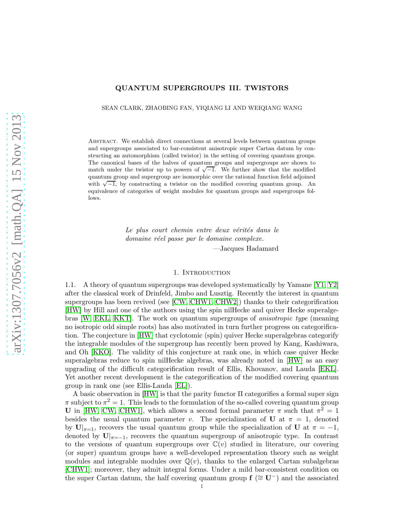## QUANTUM SUPERGROUPS III. TWISTORS

SEAN CLARK, ZHAOBING FAN, YIQIANG LI AND WEIQIANG WANG

Abstract. We establish direct connections at several levels between quantum groups and supergroups associated to bar-consistent anisotropic super Cartan datum by constructing an automorphism (called twistor) in the setting of covering quantum groups. The canonical bases of the halves of quantum groups and supergroups are shown to match under the twistor up to powers of  $\sqrt{-1}$ . We further show that the modified quantum group and supergroup are isomorphic over the rational function field adjoined with  $\sqrt{-1}$ , by constructing a twistor on the modified covering quantum group. An equivalence of categories of weight modules for quantum groups and supergroups follows.

> Le plus court chemin entre deux vérités dans le *domaine r´eel passe par le domaine complexe.* —Jacques Hadamard

#### 1. INTRODUCTION

1.1. A theory of quantum supergroups was developed systematically by Yamane [\[Y1,](#page-18-0) [Y2\]](#page-18-1) after the classical work of Drinfeld, Jimbo and Lusztig. Recently the interest in quantum supergroups has been revived (see [\[CW,](#page-18-2) [CHW1,](#page-18-3) [CHW2\]](#page-18-4)) thanks to their categorification [\[HW\]](#page-18-5) by Hill and one of the authors using the spin nilHecke and quiver Hecke superalgebras [\[W,](#page-18-6) [EKL,](#page-18-7) [KKT\]](#page-18-8). The work on quantum supergroups of *anisotropic type* (meaning no isotropic odd simple roots) has also motivated in turn further progress on categorification. The conjecture in [\[HW\]](#page-18-5) that cyclotomic (spin) quiver Hecke superalgebras categorify the integrable modules of the supergroup has recently been proved by Kang, Kashiwara, and Oh [\[KKO\]](#page-18-9). The validity of this conjecture at rank one, in which case quiver Hecke superalgebras reduce to spin nilHecke algebras, was already noted in [\[HW\]](#page-18-5) as an easy upgrading of the difficult categorification result of Ellis, Khovanov, and Lauda [\[EKL\]](#page-18-7). Yet another recent development is the categorification of the modified covering quantum group in rank one (see Ellis-Lauda [\[EL\]](#page-18-10)).

A basic observation in [\[HW\]](#page-18-5) is that the parity functor Π categorifies a formal super sign  $\pi$  subject to  $\pi^2 = 1$ . This leads to the formulation of the so-called covering quantum group U in [\[HW,](#page-18-5) [CW,](#page-18-2) [CHW1\]](#page-18-3), which allows a second formal parameter  $\pi$  such that  $\pi^2 = 1$ besides the usual quantum parameter v. The specialization of U at  $\pi = 1$ , denoted by  $\mathbf{U}|_{\pi=1}$ , recovers the usual quantum group while the specialization of  $\mathbf{U}$  at  $\pi=-1$ , denoted by  $\mathbf{U}|_{\pi=-1}$ , recovers the quantum supergroup of anisotropic type. In contrast to the versions of quantum supergroups over  $\mathbb{C}(v)$  studied in literature, our covering (or super) quantum groups have a well-developed representation theory such as weight modules and integrable modules over  $\mathbb{Q}(v)$ , thanks to the enlarged Cartan subalgebras [\[CHW1\]](#page-18-3); moreover, they admit integral forms. Under a mild bar-consistent condition on the super Cartan datum, the half covering quantum group  $f$  ( $\cong U^-$ ) and the associated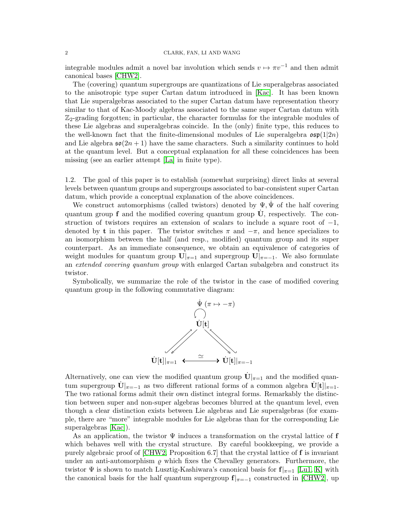#### 2 CLARK, FAN, LI AND WANG

integrable modules admit a novel bar involution which sends  $v \mapsto \pi v^{-1}$  and then admit canonical bases [\[CHW2\]](#page-18-4).

The (covering) quantum supergroups are quantizations of Lie superalgebras associated to the anisotropic type super Cartan datum introduced in [\[Kac\]](#page-18-11). It has been known that Lie superalgebras associated to the super Cartan datum have representation theory similar to that of Kac-Moody algebras associated to the same super Cartan datum with  $\mathbb{Z}_2$ -grading forgotten; in particular, the character formulas for the integrable modules of these Lie algebras and superalgebras coincide. In the (only) finite type, this reduces to the well-known fact that the finite-dimensional modules of Lie superalgebra  $\mathfrak{osp}(1|2n)$ and Lie algebra  $\mathfrak{so}(2n+1)$  have the same characters. Such a similarity continues to hold at the quantum level. But a conceptual explanation for all these coincidences has been missing (see an earlier attempt [\[La\]](#page-18-12) in finite type).

1.2. The goal of this paper is to establish (somewhat surprising) direct links at several levels between quantum groups and supergroups associated to bar-consistent super Cartan datum, which provide a conceptual explanation of the above coincidences.

We construct automorphisms (called twistors) denoted by  $\Psi, \Psi$  of the half covering quantum group  $f$  and the modified covering quantum group  $\dot{U}$ , respectively. The construction of twistors requires an extension of scalars to include a square root of  $-1$ , denoted by t in this paper. The twistor switches  $\pi$  and  $-\pi$ , and hence specializes to an isomorphism between the half (and resp., modified) quantum group and its super counterpart. As an immediate consequence, we obtain an equivalence of categories of weight modules for quantum group  $\mathbf{U}|_{\pi=1}$  and supergroup  $\mathbf{U}|_{\pi=-1}$ . We also formulate an *extended covering quantum group* with enlarged Cartan subalgebra and construct its twistor.

Symbolically, we summarize the role of the twistor in the case of modified covering quantum group in the following commutative diagram:



Alternatively, one can view the modified quantum group  $\dot{U}|_{\pi=1}$  and the modified quantum supergroup  $\dot{U}|_{\pi=-1}$  as two different rational forms of a common algebra  $\dot{U}[t]|_{\pi=1}$ . The two rational forms admit their own distinct integral forms. Remarkably the distinction between super and non-super algebras becomes blurred at the quantum level, even though a clear distinction exists between Lie algebras and Lie superalgebras (for example, there are "more" integrable modules for Lie algebras than for the corresponding Lie superalgebras [\[Kac\]](#page-18-11)).

As an application, the twistor  $\Psi$  induces a transformation on the crystal lattice of f which behaves well with the crystal structure. By careful bookkeeping, we provide a purely algebraic proof of [\[CHW2,](#page-18-4) Proposition 6.7] that the crystal lattice of f is invariant under an anti-automorphism  $\rho$  which fixes the Chevalley generators. Furthermore, the twistor  $\Psi$  is shown to match Lusztig-Kashiwara's canonical basis for  $f|_{\pi=1}$  [\[Lu1,](#page-18-13) [K\]](#page-18-14) with the canonical basis for the half quantum supergroup  $f|_{\pi=-1}$  constructed in [\[CHW2\]](#page-18-4), up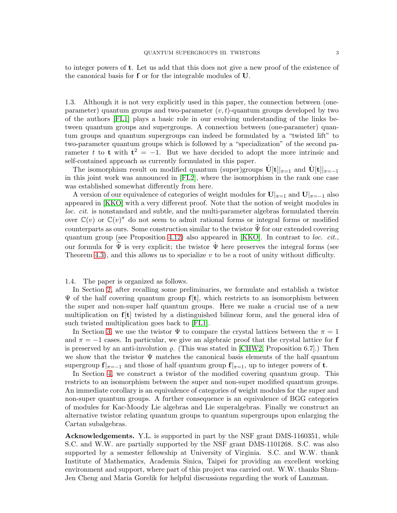to integer powers of t. Let us add that this does not give a new proof of the existence of the canonical basis for f or for the integrable modules of U.

1.3. Although it is not very explicitly used in this paper, the connection between (oneparameter) quantum groups and two-parameter  $(v, t)$ -quantum groups developed by two of the authors [\[FL1\]](#page-18-15) plays a basic role in our evolving understanding of the links between quantum groups and supergroups. A connection between (one-parameter) quantum groups and quantum supergroups can indeed be formulated by a "twisted lift" to two-parameter quantum groups which is followed by a "specialization" of the second parameter t to t with  $t^2 = -1$ . But we have decided to adopt the more intrinsic and self-contained approach as currently formulated in this paper.

The isomorphism result on modified quantum (super)groups  $\dot{U}[t]|_{\pi=1}$  and  $\dot{U}[t]|_{\pi=-1}$ in this joint work was announced in [\[FL2\]](#page-18-16), where the isomorphism in the rank one case was established somewhat differently from here.

A version of our equivalence of categories of weight modules for  $\mathbf{U}|_{\pi=1}$  and  $\mathbf{U}|_{\pi=-1}$  also appeared in [\[KKO\]](#page-18-9) with a very different proof. Note that the notion of weight modules in *loc. cit.* is nonstandard and subtle, and the multi-parameter algebras formulated therein over  $\mathbb{C}(v)$  or  $\mathbb{C}(v)$ <sup> $\pi$ </sup> do not seem to admit rational forms or integral forms or modified counterparts as ours. Some construction similar to the twistor  $\hat{\Psi}$  for our extended covering quantum group (see Proposition [4.12\)](#page-16-0) also appeared in [\[KKO\]](#page-18-9). In contrast to *loc. cit.*, our formula for  $\hat{\Psi}$  is very explicit; the twistor  $\dot{\Psi}$  here preserves the integral forms (see Theorem 4.3), and this allows us to specialize  $v$  to be a root of unity without difficulty.

## 1.4. The paper is organized as follows.

In Section [2,](#page-3-0) after recalling some preliminaries, we formulate and establish a twistor  $\Psi$  of the half covering quantum group  $f[t]$ , which restricts to an isomorphism between the super and non-super half quantum groups. Here we make a crucial use of a new multiplication on  $f[t]$  twisted by a distinguished bilinear form, and the general idea of such twisted multiplication goes back to [\[FL1\]](#page-18-15).

In Section [3,](#page-8-0) we use the twistor  $\Psi$  to compare the crystal lattices between the  $\pi = 1$ and  $\pi = -1$  cases. In particular, we give an algebraic proof that the crystal lattice for **f** is preserved by an anti-involution  $\rho$ . (This was stated in [\[CHW2,](#page-18-4) Proposition 6.7].) Then we show that the twistor  $\Psi$  matches the canonical basis elements of the half quantum supergroup  $f|_{\pi=-1}$  and those of half quantum group  $f|_{\pi=1}$ , up to integer powers of t.

In Section [4,](#page-11-0) we construct a twistor of the modified covering quantum group. This restricts to an isomorphism between the super and non-super modified quantum groups. An immediate corollary is an equivalence of categories of weight modules for the super and non-super quantum groups. A further consequence is an equivalence of BGG categories of modules for Kac-Moody Lie algebras and Lie superalgebras. Finally we construct an alternative twistor relating quantum groups to quantum supergroups upon enlarging the Cartan subalgebras.

Acknowledgements. Y.L. is supported in part by the NSF grant DMS-1160351, while S.C. and W.W. are partially supported by the NSF grant DMS-1101268. S.C. was also supported by a semester fellowship at University of Virginia. S.C. and W.W. thank Institute of Mathematics, Academia Sinica, Taipei for providing an excellent working environment and support, where part of this project was carried out. W.W. thanks Shun-Jen Cheng and Maria Gorelik for helpful discussions regarding the work of Lanzman.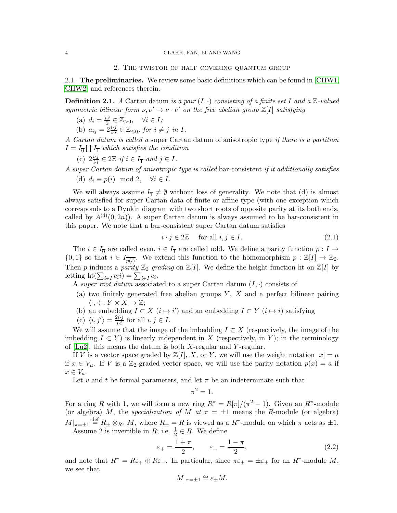<span id="page-3-0"></span>2.1. The preliminaries. We review some basic definitions which can be found in [\[CHW1,](#page-18-3) [CHW2\]](#page-18-4) and references therein.

<span id="page-3-1"></span>**Definition 2.1.** *A* Cartan datum *is a pair*  $(I, \cdot)$  *consisting of a finite set I and a* Z-valued *symmetric bilinear form*  $\nu, \nu' \mapsto \nu \cdot \nu'$  *on the free abelian group*  $\mathbb{Z}[I]$  *satisfying* 

(a)  $d_i = \frac{i \cdot i}{2} \in \mathbb{Z}_{>0}, \quad \forall i \in I;$ 

(b)  $a_{ij} = 2\frac{i \cdot j}{i \cdot i} \in \mathbb{Z}_{\leq 0}$ , for  $i \neq j$  in I.

*A Cartan datum is called a* super Cartan datum of anisotropic type *if there is a partition*  $I = I_{\overline{0}} \coprod I_{\overline{1}}$  which satisfies the condition

(c) 
$$
2\frac{i\cdot j}{i\cdot i} \in 2\mathbb{Z}
$$
 if  $i \in I_{\overline{1}}$  and  $j \in I$ .

*A super Cartan datum of anisotropic type is called* bar-consistent *if it additionally satisfies* (d)  $d_i \equiv p(i) \mod 2, \quad \forall i \in I.$ 

We will always assume  $I_{\overline{1}} \neq \emptyset$  without loss of generality. We note that (d) is almost always satisfied for super Cartan data of finite or affine type (with one exception which corresponds to a Dynkin diagram with two short roots of opposite parity at its both ends, called by  $A^{(4)}(0, 2n)$ . A super Cartan datum is always assumed to be bar-consistent in this paper. We note that a bar-consistent super Cartan datum satisfies

<span id="page-3-2"></span>
$$
i \cdot j \in 2\mathbb{Z} \quad \text{for all } i, j \in I. \tag{2.1}
$$

The  $i \in I_{\overline{0}}$  are called even,  $i \in I_{\overline{1}}$  are called odd. We define a parity function  $p: I \to$  $\{0,1\}$  so that  $i \in I_{\overline{p(i)}}$ . We extend this function to the homomorphism  $p : \mathbb{Z}[I] \to \mathbb{Z}_2$ . Then p induces a parity  $\mathbb{Z}_2$ -grading on  $\mathbb{Z}[I]$ . We define the height function ht on  $\mathbb{Z}[I]$  by letting ht( $\sum_{i \in I} c_i i$ ) =  $\sum_{i \in I} c_i$ .

A *super root datum* associated to a super Cartan datum  $(I, \cdot)$  consists of

- (a) two finitely generated free abelian groups  $Y$ ,  $X$  and a perfect bilinear pairing  $\langle \cdot, \cdot \rangle : Y \times X \to \mathbb{Z};$
- (b) an embedding  $I \subset X$   $(i \mapsto i')$  and an embedding  $I \subset Y$   $(i \mapsto i)$  satisfying
- (c)  $\langle i, j' \rangle = \frac{2i \cdot j}{i \cdot i}$  $\frac{i}{i \cdot i}$  for all  $i, j \in I$ .

We will assume that the image of the imbedding  $I \subset X$  (respectively, the image of the imbedding  $I \subset Y$ ) is linearly independent in X (respectively, in Y); in the terminology of [\[Lu2\]](#page-18-17), this means the datum is both X-regular and Y -regular.

If V is a vector space graded by  $\mathbb{Z}[I], X$ , or Y, we will use the weight notation  $|x| = \mu$ if  $x \in V_\mu$ . If V is a Z<sub>2</sub>-graded vector space, we will use the parity notation  $p(x) = a$  if  $x \in V_a$ .

Let v and t be formal parameters, and let  $\pi$  be an indeterminate such that

$$
\pi^2=1.
$$

For a ring R with 1, we will form a new ring  $R^{\pi} = R[\pi]/(\pi^2 - 1)$ . Given an  $R^{\pi}$ -module (or algebra) M, the *specialization of* M  $at \pi = \pm 1$  means the R-module (or algebra)  $M|_{\pi=\pm 1}$  def  $R_{\pm} \otimes_{R^{\pi}} M$ , where  $R_{\pm} = R$  is viewed as a  $R^{\pi}$ -module on which  $\pi$  acts as  $\pm 1$ . Assume 2 is invertible in R; i.e.  $\frac{1}{2} \in R$ . We define

<span id="page-3-3"></span>
$$
\varepsilon_{+} = \frac{1+\pi}{2}, \qquad \varepsilon_{-} = \frac{1-\pi}{2}, \tag{2.2}
$$

and note that  $R^{\pi} = R\varepsilon_+ \oplus R\varepsilon_-$ . In particular, since  $\pi \varepsilon_{\pm} = \pm \varepsilon_{\pm}$  for an  $R^{\pi}$ -module M, we see that

$$
M|_{\pi=\pm 1} \cong \varepsilon_{\pm} M.
$$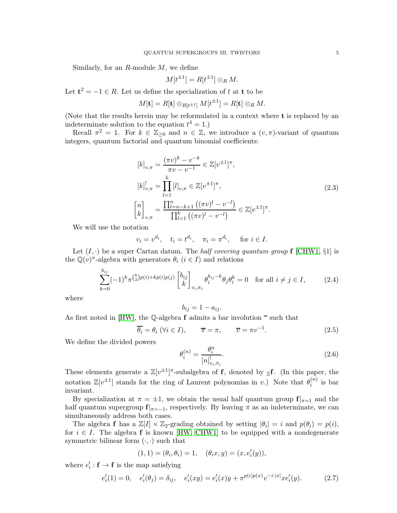Similarly, for an  $R$ -module  $M$ , we define

$$
M[t^{\pm 1}] = R[t^{\pm 1}] \otimes_R M.
$$

Let  $\mathbf{t}^2 = -1 \in R$ . Let us define the specialization of t at t to be

$$
M[\mathbf t]=R[\mathbf t]\otimes_{R[t^{\pm 1}]}M[t^{\pm 1}]=R[\mathbf t]\otimes_{R}M.
$$

(Note that the results herein may be reformulated in a context where t is replaced by an indeterminate solution to the equation  $t^4 = 1$ .)

Recall  $\pi^2 = 1$ . For  $k \in \mathbb{Z}_{\geq 0}$  and  $n \in \mathbb{Z}$ , we introduce a  $(v, \pi)$ -variant of quantum integers, quantum factorial and quantum binomial coefficients:

$$
[k]_{v,\pi} = \frac{(\pi v)^k - v^{-k}}{\pi v - v^{-1}} \in \mathbb{Z}[v^{\pm 1}]^{\pi},
$$
  
\n
$$
[k]_{v,\pi}^! = \prod_{l=1}^k [l]_{v,\pi} \in \mathbb{Z}[v^{\pm 1}]^{\pi},
$$
  
\n
$$
\begin{bmatrix} n \\ k \end{bmatrix}_{v,\pi} = \frac{\prod_{l=n-k+1}^n ((\pi v)^l - v^{-l})}{\prod_{l=1}^k ((\pi v)^l - v^{-l})} \in \mathbb{Z}[v^{\pm 1}]^{\pi}.
$$
\n(2.3)

<span id="page-4-1"></span>We will use the notation

$$
v_i = v^{d_i}, \quad t_i = t^{d_i}, \quad \pi_i = \pi^{d_i}, \quad \text{for } i \in I.
$$

Let  $(I, \cdot)$  be a super Cartan datum. The *half covering quantum group* f [\[CHW1,](#page-18-3) §1] is the  $\mathbb{Q}(v)^{\pi}$ -algebra with generators  $\theta_i$   $(i \in I)$  and relations

<span id="page-4-0"></span>
$$
\sum_{k=0}^{b_{ij}} (-1)^k \pi^{\binom{k}{2}p(i)+kp(i)p(j)} \begin{bmatrix} b_{ij} \\ k \end{bmatrix}_{v_i, \pi_i} \theta_i^{b_{ij}-k} \theta_j \theta_i^k = 0 \quad \text{for all } i \neq j \in I,
$$
 (2.4)

where

$$
b_{ij} = 1 - a_{ij}.
$$

As first noted in [\[HW\]](#page-18-5), the  $\mathbb Q$ -algebra **f** admits a bar involution  $\overline{\phantom{a}}$  such that

<span id="page-4-4"></span>
$$
\overline{\theta_i} = \theta_i \ (\forall i \in I), \qquad \overline{\pi} = \pi, \qquad \overline{v} = \pi v^{-1}. \tag{2.5}
$$

We define the divided powers

<span id="page-4-2"></span>
$$
\theta_i^{(n)} = \frac{\theta_i^n}{[n]_{v_i, \pi_i}^!}.\tag{2.6}
$$

These elements generate a  $\mathbb{Z}[v^{\pm 1}]^{\pi}$ -subalgebra of f, denoted by  $\mathbb{Z}$ f. (In this paper, the notation  $\mathbb{Z}[v^{\pm 1}]$  stands for the ring of Laurent polynomias in v.) Note that  $\theta_i^{(n)}$  $i^{(n)}$  is bar invariant.

By specialization at  $\pi = \pm 1$ , we obtain the usual half quantum group  $f|_{\pi=1}$  and the half quantum supergroup  $f|_{\pi=-1}$ , respectively. By leaving  $\pi$  as an indeterminate, we can simultaneously address both cases.

The algebra **f** has a  $\mathbb{Z}[I] \times \mathbb{Z}_2$ -grading obtained by setting  $|\theta_i| = i$  and  $p(\theta_i) = p(i)$ , for  $i \in I$ . The algebra **f** is known [\[HW,](#page-18-5) [CHW1\]](#page-18-3) to be equipped with a nondegenerate symmetric bilinear form  $(\cdot, \cdot)$  such that

$$
(1,1)=(\theta_i,\theta_i)=1,\quad (\theta_ix,y)=(x,e_i'(y)),
$$

where  $e'_i : \mathbf{f} \to \mathbf{f}$  is the map satisfying

<span id="page-4-3"></span>
$$
e'_{i}(1) = 0, \quad e'_{i}(\theta_{j}) = \delta_{ij}, \quad e'_{i}(xy) = e'_{i}(x)y + \pi^{p(i)p(x)}v^{-i \cdot |x|}xe'_{i}(y). \tag{2.7}
$$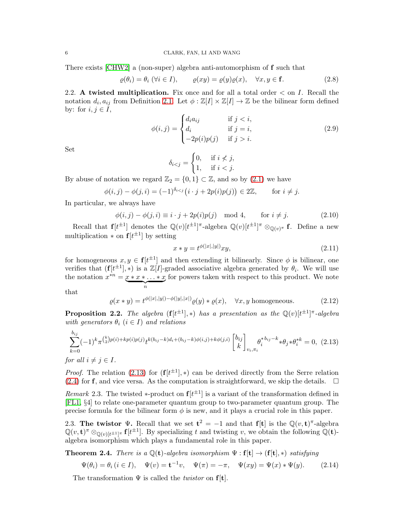There exists [\[CHW2\]](#page-18-4) a (non-super) algebra anti-automorphism of f such that

<span id="page-5-2"></span>
$$
\varrho(\theta_i) = \theta_i \ (\forall i \in I), \qquad \varrho(xy) = \varrho(y)\varrho(x), \quad \forall x, y \in \mathbf{f}. \tag{2.8}
$$

2.2. A twisted multiplication. Fix once and for all a total order  $\lt$  on *I*. Recall the notation  $d_i, a_{ij}$  from Definition [2.1.](#page-3-1) Let  $\phi : \mathbb{Z}[I] \times \mathbb{Z}[I] \to \mathbb{Z}$  be the bilinear form defined by: for  $i, j \in I$ ,

<span id="page-5-7"></span>
$$
\phi(i,j) = \begin{cases} d_i a_{ij} & \text{if } j < i, \\ d_i & \text{if } j = i, \\ -2p(i)p(j) & \text{if } j > i. \end{cases} \tag{2.9}
$$

Set

$$
\delta_{i
$$

By abuse of notation we regard  $\mathbb{Z}_2 = \{0,1\} \subset \mathbb{Z}$ , and so by  $(2.1)$  we have

$$
\phi(i,j) - \phi(j,i) = (-1)^{\delta_{i < j}} (i \cdot j + 2p(i)p(j)) \in 2\mathbb{Z}, \quad \text{for } i \neq j.
$$

In particular, we always have

<span id="page-5-3"></span>
$$
\phi(i,j) - \phi(j,i) \equiv i \cdot j + 2p(i)p(j) \mod 4, \quad \text{for } i \neq j.
$$
 (2.10)

Recall that  $f[t^{\pm 1}]$  denotes the  $\mathbb{Q}(v)[t^{\pm 1}]^{\pi}$ -algebra  $\mathbb{Q}(v)[t^{\pm 1}]^{\pi} \otimes_{\mathbb{Q}(v)^{\pi}} \mathbf{f}$ . Define a new multiplication  $*$  on  $f[t^{\pm 1}]$  by setting

<span id="page-5-4"></span>
$$
x * y = t^{\phi(|x|,|y|)} xy,
$$
\n(2.11)

for homogeneous  $x, y \in \mathbf{f}[t^{\pm 1}]$  and then extending it bilinearly. Since  $\phi$  is bilinear, one verifies that  $(f[t^{\pm 1}], *)$  is a  $\mathbb{Z}[I]$ -graded associative algebra generated by  $\theta_i$ . We will use the notation  $x^{*n} = \underbrace{x * x * \dots * x}_{n}$ for powers taken with respect to this product. We note

that

<span id="page-5-5"></span>
$$
\varrho(x \ast y) = t^{\phi(|x|,|y|) - \phi(|y|,|x|)} \varrho(y) \ast \varrho(x), \quad \forall x, y \text{ homogeneous.}
$$
 (2.12)

**Proposition 2.2.** The algebra  $(f[t^{\pm 1}], *)$  has a presentation as the  $\mathbb{Q}(v)[t^{\pm 1}]^{\pi}$ -algebra *with generators*  $\theta_i$  ( $i \in I$ ) *and relations* 

<span id="page-5-0"></span>
$$
\sum_{k=0}^{b_{ij}} (-1)^k \pi^{\binom{k}{2}p(i)+kp(i)p(j)} t^{k(b_{ij}-k)d_i+(b_{ij}-k)\phi(i,j)+k\phi(j,i)} \begin{bmatrix} b_{ij} \\ k \end{bmatrix}_{v_i, \pi_i} \theta_i^* b_{ij}^{-k} * \theta_j * \theta_i^* k = 0, \tag{2.13}
$$

*for all*  $i \neq j \in I$ *.* 

*Proof.* The relation [\(2.13\)](#page-5-0) for  $(f[t^{\pm 1}], *)$  can be derived directly from the Serre relation [\(2.4\)](#page-4-0) for f, and vice versa. As the computation is straightforward, we skip the details.

*Remark* 2.3. The twisted \*-product on  $f[t^{\pm 1}]$  is a variant of the transformation defined in [\[FL1,](#page-18-15) §4] to relate one-parameter quantum group to two-parameter quantum group. The precise formula for the bilinear form  $\phi$  is new, and it plays a crucial role in this paper.

2.3. The twistor  $\Psi$ . Recall that we set  $\mathbf{t}^2 = -1$  and that  $\mathbf{f}[\mathbf{t}]$  is the  $\mathbb{Q}(v,\mathbf{t})^{\pi}$ -algebra  $\mathbb{Q}(v, \mathbf{t})^{\pi} \otimes_{\mathbb{Q}(v)[t^{\pm 1}]^{\pi}} \mathbf{f}[t^{\pm 1}]$ . By specializing t and twisting v, we obtain the following  $\mathbb{Q}(\mathbf{t})$ algebra isomorphism which plays a fundamental role in this paper.

<span id="page-5-1"></span>**Theorem 2.4.** *There is a*  $\mathbb{Q}(\mathbf{t})$ -algebra isomorphism  $\Psi : \mathbf{f}[\mathbf{t}] \to (\mathbf{f}[\mathbf{t}], *)$  *satisfying* 

<span id="page-5-6"></span>
$$
\Psi(\theta_i) = \theta_i \ (i \in I), \quad \Psi(v) = \mathbf{t}^{-1}v, \quad \Psi(\pi) = -\pi, \quad \Psi(xy) = \Psi(x) * \Psi(y). \tag{2.14}
$$

The transformation  $\Psi$  is called the *twistor* on  $f[t]$ .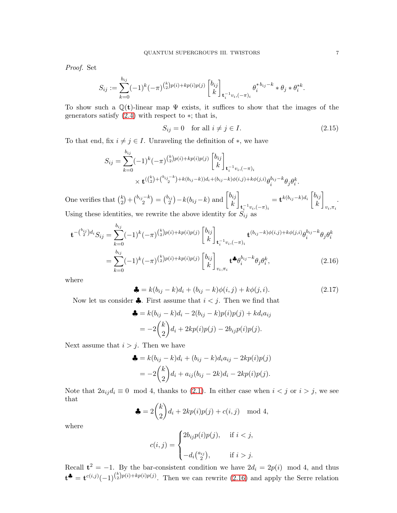*Proof.* Set

$$
S_{ij} := \sum_{k=0}^{b_{ij}} (-1)^k (-\pi)^{\binom{k}{2}p(i)+kp(i)p(j)} \begin{bmatrix} b_{ij} \\ k \end{bmatrix}_{\mathbf{t}_i^{-1}v_i, (-\pi)_i} \theta_i^{*b_{ij}-k} * \theta_j * \theta_i^{*k}.
$$

To show such a  $\mathbb{Q}(\mathbf{t})$ -linear map  $\Psi$  exists, it suffices to show that the images of the generators satisfy  $(2.4)$  with respect to  $*$ ; that is,

<span id="page-6-1"></span>
$$
S_{ij} = 0 \quad \text{for all } i \neq j \in I. \tag{2.15}
$$

To that end, fix  $i \neq j \in I$ . Unraveling the definition of  $\ast$ , we have

$$
S_{ij} = \sum_{k=0}^{b_{ij}} (-1)^k (-\pi)^{\binom{k}{2}p(i)+kp(i)p(j)} \begin{bmatrix} b_{ij} \\ k \end{bmatrix}_{\mathbf{t}_i^{-1}v_i, (-\pi)_i} \times \mathbf{t}^{(\binom{k}{2} + \binom{b_{ij}-k}{2}+k(b_{ij}-k))d_i + (b_{ij}-k)\phi(i,j)+k\phi(j,i)} \theta_i^{b_{ij}-k} \theta_j \theta_i^k.
$$

One verifies that  $\binom{k}{2}$  ${k \choose 2} + {b_{ij} - k \choose 2}$  $\binom{a-k}{2} = \binom{b_{ij}}{2}$  $\binom{b_{ij}}{2} - k(b_{ij} - k)$  and  $\binom{b_{ij}}{k}$ k 1  $\mathbf{t}_{i}^{-1}v_{i},(-\pi)_{i}$  $= \mathbf{t}^{k(b_{ij}-k)d_i}$ k 1  $v_i, \pi_i$ . Using these identities, we rewrite the above identity for  $S_{ij}$  as

$$
\mathbf{t}^{-(b_{ij})d_i} S_{ij} = \sum_{k=0}^{b_{ij}} (-1)^k (-\pi)^{\binom{k}{2}p(i)+kp(i)p(j)} \begin{bmatrix} b_{ij} \\ k \end{bmatrix}_{\mathbf{t}_i^{-1}v_i, (-\pi)_i} \mathbf{t}^{(b_{ij}-k)\phi(i,j)+k\phi(j,i)} \theta_i^{b_{ij}-k} \theta_j \theta_i^k
$$

$$
= \sum_{k=0}^{b_{ij}} (-1)^k (-\pi)^{\binom{k}{2}p(i)+kp(i)p(j)} \begin{bmatrix} b_{ij} \\ k \end{bmatrix}_{v_i, \pi_i} \mathbf{t}^{\clubsuit} \theta_i^{b_{ij}-k} \theta_j \theta_i^k, \tag{2.16}
$$

where

<span id="page-6-2"></span><span id="page-6-0"></span>
$$
\clubsuit = k(b_{ij} - k)d_i + (b_{ij} - k)\phi(i, j) + k\phi(j, i). \tag{2.17}
$$

Now let us consider  $\clubsuit$ . First assume that  $i < j$ . Then we find that

$$
\begin{aligned} \clubsuit &= k(b_{ij} - k)d_i - 2(b_{ij} - k)p(i)p(j) + kd_ia_{ij} \\ &= -2\binom{k}{2}d_i + 2kp(i)p(j) - 2b_{ij}p(i)p(j). \end{aligned}
$$

Next assume that  $i > j$ . Then we have

$$
\begin{aligned} \clubsuit &= k(b_{ij} - k)d_i + (b_{ij} - k)d_ia_{ij} - 2kp(i)p(j) \\ &= -2\binom{k}{2}d_i + a_{ij}(b_{ij} - 2k)d_i - 2kp(i)p(j). \end{aligned}
$$

Note that  $2a_{ij}d_i \equiv 0 \mod 4$ , thanks to [\(2.1\)](#page-3-2). In either case when  $i < j$  or  $i > j$ , we see that

$$
\clubsuit = 2\binom{k}{2}d_i + 2kp(i)p(j) + c(i,j) \mod 4,
$$

where

$$
c(i,j) = \begin{cases} 2b_{ij}p(i)p(j), & \text{if } i < j, \\ -d_i\binom{a_{ij}}{2}, & \text{if } i > j. \end{cases}
$$

Recall  $t^2 = -1$ . By the bar-consistent condition we have  $2d_i = 2p(i) \mod 4$ , and thus  $\mathbf{t}^{\clubsuit} = \mathbf{t}^{c(i,j)}(-1)^{\binom{k}{2}p(i)+kp(i)p(j)}$ . Then we can rewrite [\(2.16\)](#page-6-0) and apply the Serre relation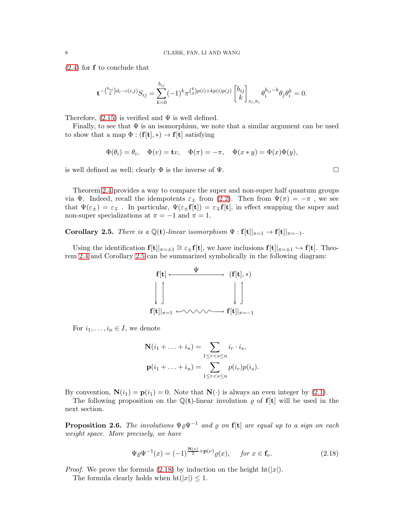[\(2.4\)](#page-4-0) for f to conclude that

$$
\mathbf{t}^{-\binom{b_{ij}}{2}d_i - c(i,j)} S_{ij} = \sum_{k=0}^{b_{ij}} (-1)^k \pi^{\binom{k}{2}p(i) + kp(i)p(j)} \begin{bmatrix} b_{ij} \\ k \end{bmatrix}_{v_i, \pi_i} \theta_i^{b_{ij} - k} \theta_j \theta_i^k = 0.
$$

Therefore,  $(2.15)$  is verified and  $\Psi$  is well defined.

Finally, to see that  $\Psi$  is an isomorphism, we note that a similar argument can be used to show that a map  $\Phi : (\mathbf{f}[\mathbf{t}], *) \to \mathbf{f}[\mathbf{t}]$  satisfying

$$
\Phi(\theta_i) = \theta_i, \quad \Phi(v) = \mathbf{t}v, \quad \Phi(\pi) = -\pi, \quad \Phi(x * y) = \Phi(x)\Phi(y),
$$

is well defined as well; clearly  $\Phi$  is the inverse of  $\Psi$ .

Theorem [2.4](#page-5-1) provides a way to compare the super and non-super half quantum groups via Ψ. Indeed, recall the idempotents  $\varepsilon_{\pm}$  from  $(2.2)$ . Then from  $\Psi(\pi) = -\pi$ , we see that  $\Psi(\varepsilon_{\pm}) = \varepsilon_{\mp}$ . In particular,  $\Psi(\varepsilon_{\pm} f[t]) = \varepsilon_{\mp} f[t]$ , in effect swapping the super and non-super specializations at  $\pi = -1$  and  $\pi = 1$ .

<span id="page-7-0"></span>**Corollary 2.5.** *There is a*  $\mathbb{Q}(\mathbf{t})$ *-linear isomorphism*  $\Psi : \mathbf{f}[\mathbf{t}]|_{\pi=1} \to \mathbf{f}[\mathbf{t}]|_{\pi=-1}$ *.* 

Using the identification  $f[t]|_{\pi=\pm 1} \cong \varepsilon_{\pm} f[t]$ , we have inclusions  $f[t]|_{\pi=\pm 1} \hookrightarrow f[t]$ . Theorem [2.4](#page-5-1) and Corollary [2.5](#page-7-0) can be summarized symbolically in the following diagram:



For  $i_1, \ldots, i_n \in I$ , we denote

$$
\mathbf{N}(i_1 + \dots + i_n) = \sum_{1 \leq r < s \leq n} i_r \cdot i_s,
$$
\n
$$
\mathbf{p}(i_1 + \dots + i_n) = \sum_{1 \leq r < s \leq n} p(i_r) p(i_s).
$$

By convention,  $N(i_1) = p(i_1) = 0$ . Note that  $N(\cdot)$  is always an even integer by [\(2.1\)](#page-3-2).

The following proposition on the  $\mathbb{Q}(\mathbf{t})$ -linear involution  $\varrho$  of  $\mathbf{f}[\mathbf{t}]$  will be used in the next section.

<span id="page-7-2"></span>Proposition 2.6. *The involutions* Ψ̺Ψ−<sup>1</sup> *and* ̺ *on* f[t] *are equal up to a sign on each weight space. More precisely, we have*

<span id="page-7-1"></span>
$$
\Psi \varrho \Psi^{-1}(x) = (-1)^{\frac{\mathbf{N}(\nu)}{2} + \mathbf{p}(\nu)} \varrho(x), \quad \text{for } x \in \mathbf{f}_{\nu}.
$$
 (2.18)

*Proof.* We prove the formula [\(2.18\)](#page-7-1) by induction on the height  $\text{ht}(|x|)$ .

The formula clearly holds when  $\text{ht}(|x|) \leq 1$ .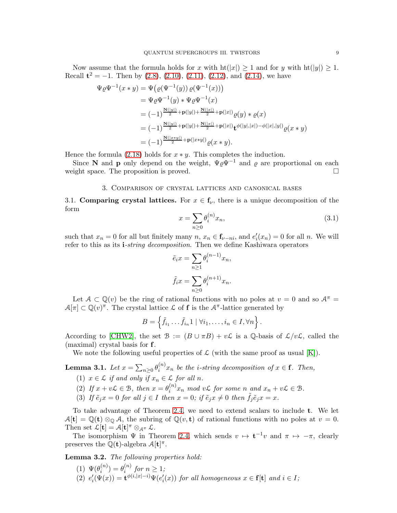Now assume that the formula holds for x with  $\text{ht}(|x|) \geq 1$  and for y with  $\text{ht}(|y|) \geq 1$ . Recall  $t^2 = -1$ . Then by  $(2.8), (2.10), (2.11), (2.12),$  $(2.8), (2.10), (2.11), (2.12),$  $(2.8), (2.10), (2.11), (2.12),$  $(2.8), (2.10), (2.11), (2.12),$  $(2.8), (2.10), (2.11), (2.12),$  $(2.8), (2.10), (2.11), (2.12),$  $(2.8), (2.10), (2.11), (2.12),$  and  $(2.14),$  we have

$$
\Psi \varrho \Psi^{-1}(x * y) = \Psi (\varrho (\Psi^{-1}(y)) \varrho (\Psi^{-1}(x)))
$$
  
\n
$$
= \Psi \varrho \Psi^{-1}(y) * \Psi \varrho \Psi^{-1}(x)
$$
  
\n
$$
= (-1)^{\frac{\mathbf{N}(|y|)}{2} + \mathbf{p}(|y|) + \frac{\mathbf{N}(|x|)}{2} + \mathbf{p}(|x|)} \varrho(y) * \varrho(x)
$$
  
\n
$$
= (-1)^{\frac{\mathbf{N}(|y|)}{2} + \mathbf{p}(|y|) + \frac{\mathbf{N}(|x|)}{2} + \mathbf{p}(|x|)} \mathbf{t}^{\phi(|y|, |x|) - \phi(|x|, |y|)} \varrho(x * y)
$$
  
\n
$$
= (-1)^{\frac{\mathbf{N}(|x * y|)}{2} + \mathbf{p}(|x * y|)} \varrho(x * y).
$$

Hence the formula  $(2.18)$  holds for  $x * y$ . This completes the induction.

<span id="page-8-0"></span>Since N and p only depend on the weight,  $\Psi \rho \Psi^{-1}$  and  $\rho$  are proportional on each weight space. The proposition is proved.

### 3. Comparison of crystal lattices and canonical bases

3.1. Comparing crystal lattices. For  $x \in \mathbf{f}_{\nu}$ , there is a unique decomposition of the form

<span id="page-8-1"></span>
$$
x = \sum_{n\geq 0} \theta_i^{(n)} x_n,\tag{3.1}
$$

such that  $x_n = 0$  for all but finitely many  $n, x_n \in \mathbf{f}_{\nu-n_i}$ , and  $e'_i(x_n) = 0$  for all n. We will refer to this as its i*-string decomposition*. Then we define Kashiwara operators

$$
\tilde{e}_ix = \sum_{n\geq 1} \theta_i^{(n-1)} x_n,
$$

$$
\tilde{f}_ix = \sum_{n\geq 0} \theta_i^{(n+1)} x_n.
$$

Let  $A \subset \mathbb{Q}(v)$  be the ring of rational functions with no poles at  $v = 0$  and so  $A^{\pi} =$  $\mathcal{A}[\pi] \subset \mathbb{Q}(v)^\pi$ . The crystal lattice  $\mathcal L$  of **f** is the  $\mathcal{A}^\pi$ -lattice generated by

$$
B = \left\{ \tilde{f}_{i_1} \dots \tilde{f}_{i_n} 1 \mid \forall i_1, \dots, i_n \in I, \forall n \right\}.
$$

According to [\[CHW2\]](#page-18-4), the set  $\mathcal{B} := (B \cup \pi B) + v\mathcal{L}$  is a Q-basis of  $\mathcal{L}/v\mathcal{L}$ , called the (maximal) crystal basis for f.

We note the following useful properties of  $\mathcal L$  (with the same proof as usual [\[K\]](#page-18-14)).

<span id="page-8-2"></span>Lemma 3.1.  $Let\ x=\sum_{n\geq 0}\theta_i^{(n)}$  $i^{(n)} x_n$  be the *i*-string decomposition of  $x \in \mathbf{f}$ . Then,

- (1)  $x \in \mathcal{L}$  *if and only if*  $x_n \in \mathcal{L}$  *for all n.*
- (2) If  $x + v\mathcal{L} \in \mathcal{B}$ , then  $x = \theta_i^{(n)}$  $\sum_{i=1}^{(n)} x_n$  *mod*  $v\mathcal{L}$  *for some n and*  $x_n + v\mathcal{L} \in \mathcal{L}$ *.*
- (3) If  $\tilde{e}_i x = 0$  for all  $j \in I$  then  $x = 0$ ; if  $\tilde{e}_i x \neq 0$  then  $\tilde{f}_i \tilde{e}_j x = x$ .

To take advantage of Theorem [2.4,](#page-5-1) we need to extend scalars to include t. We let  $A[\mathbf{t}] = \mathbb{Q}(\mathbf{t}) \otimes_{\mathbb{Q}} A$ , the subring of  $\mathbb{Q}(v, \mathbf{t})$  of rational functions with no poles at  $v = 0$ . Then set  $\mathcal{L}[\mathbf{t}] = \mathcal{A}[\mathbf{t}]^{\pi} \otimes_{\mathcal{A}^{\pi}} \mathcal{L}$ .

The isomorphism  $\Psi$  in Theorem [2.4,](#page-5-1) which sends  $v \mapsto t^{-1}v$  and  $\pi \mapsto -\pi$ , clearly preserves the  $\mathbb{Q}(\mathbf{t})$ -algebra  $\mathcal{A}[\mathbf{t}]^{\pi}$ .

<span id="page-8-3"></span>Lemma 3.2. *The following properties hold:*

(1)  $\Psi(\theta_i^{(n)})$  $\theta_i^{(n)})=\theta_i^{(n)}$  $\int_i^{(n)}$  for  $n \geq 1$ ; (2)  $e'_{i}(\Psi(x)) = \mathbf{t}^{\phi(i,|x|-i)}\Psi(e'_{i}(x))$  *for all homogeneous*  $x \in \mathbf{f}[\mathbf{t}]$  *and*  $i \in I$ ;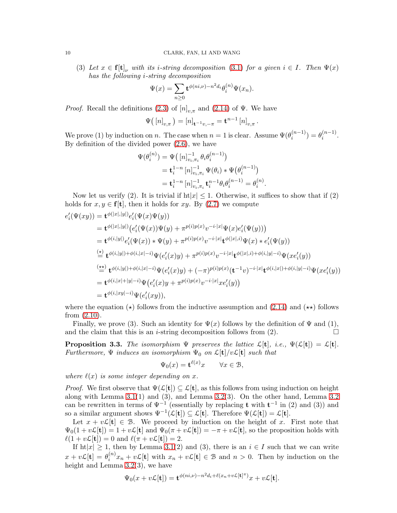#### 10 CLARK, FAN, LI AND WANG

(3) Let  $x \in \mathbf{f}[\mathbf{t}]_\nu$  with its *i*-string decomposition [\(3.1\)](#page-8-1) for a given  $i \in I$ . Then  $\Psi(x)$ *has the following* i*-string decomposition*

$$
\Psi(x) = \sum_{n\geq 0} \mathbf{t}^{\phi(ni,\nu) - n^2 d_i} \theta_i^{(n)} \Psi(x_n).
$$

*Proof.* Recall the definitions [\(2.3\)](#page-4-1) of  $[n]_{v,\pi}$  and [\(2.14\)](#page-5-6) of  $\Psi$ . We have

$$
\Psi([n]_{v,\pi}) = [n]_{\mathbf{t}^{-1}v,-\pi} = \mathbf{t}^{n-1} [n]_{v,\pi}.
$$

We prove (1) by induction on n. The case when  $n = 1$  is clear. Assume  $\Psi(\theta_i^{(n-1)})$  $\binom{n-1}{i} = \theta_i^{(n-1)}$  $\binom{n-1}{i}$ . By definition of the divided power [\(2.6\)](#page-4-2), we have

$$
\begin{aligned} \Psi(\theta_i^{(n)}) &= \Psi([n]_{v_i,\pi_i}^{-1} \theta_i \theta_i^{(n-1)}) \\ &= \mathbf{t}_i^{1-n} [n]_{v_i,\pi_i}^{-1} \Psi(\theta_i) * \Psi(\theta_i^{(n-1)}) \\ &= \mathbf{t}_i^{1-n} [n]_{v_i,\pi_i}^{-1} \mathbf{t}_i^{n-1} \theta_i \theta_i^{(n-1)} = \theta_i^{(n)} \end{aligned}
$$

.

Now let us verify (2). It is trivial if  $\text{ht}|x| \leq 1$ . Otherwise, it suffices to show that if (2) holds for  $x, y \in \mathbf{f}[\mathbf{t}]$ , then it holds for  $xy$ . By [\(2.7\)](#page-4-3) we compute

$$
e'_{i}(\Psi(xy)) = \mathbf{t}^{\phi(|x|,|y|)} e'_{i}(\Psi(x)\Psi(y))
$$
  
\n
$$
= \mathbf{t}^{\phi(|x|,|y|)} (e'_{i}(\Psi(x))\Psi(y) + \pi^{p(i)p(x)} v^{-i \cdot |x|} \Psi(x) e'_{i}(\Psi(y)))
$$
  
\n
$$
= \mathbf{t}^{\phi(i,|y|)} e'_{i}(\Psi(x)) * \Psi(y) + \pi^{p(i)p(x)} v^{-i \cdot |x|} \mathbf{t}^{\phi(|x|,i)} \Psi(x) * e'_{i}(\Psi(y))
$$
  
\n
$$
\stackrel{\text{(a)}}{=} \mathbf{t}^{\phi(i,|y|) + \phi(i,|x| - i)} \Psi(e'_{i}(x)y) + \pi^{p(i)p(x)} v^{-i \cdot |x|} \mathbf{t}^{\phi(|x|,i) + \phi(i,|y| - i)} \Psi(x e'_{i}(y))
$$
  
\n
$$
\stackrel{\text{(x)}{=} \mathbf{t}^{\phi(i,|y|) + \phi(i,|x| - i)} \Psi(e'_{i}(x)y) + (-\pi)^{p(i)p(x)} (\mathbf{t}^{-1}v)^{-i \cdot |x|} \mathbf{t}^{\phi(i,|x|) + \phi(i,|y| - i)} \Psi(x e'_{i}(y))
$$
  
\n
$$
= \mathbf{t}^{\phi(i,|x| + |y| - i)} \Psi(e'_{i}(x)y + \pi^{p(i)p(x)} v^{-i \cdot |x|} x e'_{i}(y))
$$
  
\n
$$
= \mathbf{t}^{\phi(i,|xy| - i)} \Psi(e'_{i}(xy)),
$$

where the equation  $(\star)$  follows from the inductive assumption and  $(2.14)$  and  $(\star \star)$  follows from [\(2.10\)](#page-5-3).

Finally, we prove (3). Such an identity for  $\Psi(x)$  follows by the definition of  $\Psi$  and (1), and the claim that this is an *i*-string decomposition follows from  $(2)$ .

<span id="page-9-0"></span>**Proposition 3.3.** *The isomorphism*  $\Psi$  *preserves the lattice*  $\mathcal{L}[\mathbf{t}]$ *, i.e.,*  $\Psi(\mathcal{L}[\mathbf{t}]) = \mathcal{L}[\mathbf{t}]$ *. Furthermore,*  $\Psi$  *induces an isomorphism*  $\Psi_0$  *on*  $\mathcal{L}[\mathbf{t}]/v\mathcal{L}[\mathbf{t}]$  *such that* 

$$
\Psi_0(x) = \mathbf{t}^{\ell(x)} x \qquad \forall x \in \mathcal{B},
$$

*where*  $\ell(x)$  *is some integer depending on* x.

*Proof.* We first observe that  $\Psi(\mathcal{L}[\mathbf{t}]) \subseteq \mathcal{L}[\mathbf{t}]$ , as this follows from using induction on height along with Lemma  $3.1(1)$  and  $(3)$ , and Lemma  $3.2(3)$ . On the other hand, Lemma  $3.2$ can be rewritten in terms of  $\Psi^{-1}$  (essentially by replacing t with  $t^{-1}$  in (2) and (3)) and so a similar argument shows  $\Psi^{-1}(\mathcal{L}[\mathbf{t}]) \subseteq \mathcal{L}[\mathbf{t}]$ . Therefore  $\Psi(\mathcal{L}[\mathbf{t}]) = \mathcal{L}[\mathbf{t}]$ .

Let  $x + v\mathcal{L}[\mathbf{t}] \in \mathcal{B}$ . We proceed by induction on the height of x. First note that  $\Psi_0(1+v\mathcal{L}[\mathbf{t}]) = 1+v\mathcal{L}[\mathbf{t}]$  and  $\Psi_0(\pi+v\mathcal{L}[\mathbf{t}]) = -\pi+v\mathcal{L}[\mathbf{t}]$ , so the proposition holds with  $\ell(1 + v\mathcal{L}[\mathbf{t}]) = 0$  and  $\ell(\pi + v\mathcal{L}[\mathbf{t}]) = 2$ .

If  $\text{ht}|x| \geq 1$ , then by Lemma [3.1\(](#page-8-2)2) and (3), there is an  $i \in I$  such that we can write  $x+v\mathcal{L}[\mathbf{t}]=\theta_i^{(n)}$  $\mathbf{z}_{i}^{(n)}x_{n} + v\mathcal{L}[\mathbf{t}]$  with  $x_{n} + v\mathcal{L}[\mathbf{t}] \in \mathcal{B}$  and  $n > 0$ . Then by induction on the height and Lemma [3.2\(](#page-8-3)3), we have

$$
\Psi_0(x+\nu\mathcal{L}[{\bf t}])={\bf t}^{\phi(ni,\nu)-n^2d_i+\ell(x_n+\nu\mathcal{L}[{\bf t}]^\pi)}x+\nu\mathcal{L}[{\bf t}].
$$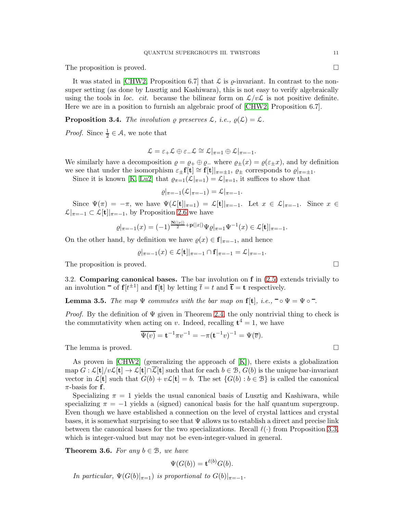The proposition is proved.

It was stated in [\[CHW2,](#page-18-4) Proposition 6.7] that  $\mathcal L$  is  $\rho$ -invariant. In contrast to the nonsuper setting (as done by Lusztig and Kashiwara), this is not easy to verify algebraically using the tools in *loc. cit.* because the bilinear form on  $\mathcal{L}/v\mathcal{L}$  is not positive definite. Here we are in a position to furnish an algebraic proof of [\[CHW2,](#page-18-4) Proposition 6.7].

**Proposition 3.4.** *The involution*  $\rho$  *preserves*  $\mathcal{L}$ *, i.e.,*  $\rho(\mathcal{L}) = \mathcal{L}$ *.* 

*Proof.* Since  $\frac{1}{2} \in \mathcal{A}$ , we note that

$$
\mathcal{L} = \varepsilon_+ \mathcal{L} \oplus \varepsilon_- \mathcal{L} \cong \mathcal{L}|_{\pi=1} \oplus \mathcal{L}|_{\pi=-1}.
$$

We similarly have a decomposition  $\varrho = \varrho_+ \oplus \varrho_-$  where  $\varrho_{\pm}(x) = \varrho(\varepsilon_{\pm}x)$ , and by definition we see that under the isomorphism  $\varepsilon_{\pm}f[t] \cong f[t]|_{\pi=\pm 1}$ ,  $\varrho_{\pm}$  corresponds to  $\varrho|_{\pi=\pm 1}$ .

Since it is known [\[K,](#page-18-14) [Lu2\]](#page-18-17) that  $\varrho_{\pi=1}(\mathcal{L}|_{\pi=1}) = \mathcal{L}|_{\pi=1}$ , it suffices to show that

$$
\varrho|_{\pi=-1}(\mathcal{L}|_{\pi=-1})=\mathcal{L}|_{\pi=-1}.
$$

Since  $\Psi(\pi) = -\pi$ , we have  $\Psi(\mathcal{L}[\mathbf{t}]]_{\pi=1}) = \mathcal{L}[\mathbf{t}]]_{\pi=-1}$ . Let  $x \in \mathcal{L}|_{\pi=-1}$ . Since  $x \in$  $\mathcal{L}|_{\pi=-1} \subset \mathcal{L}[\mathbf{t}]|_{\pi=-1}$ , by Proposition [2.6](#page-7-2) we have

$$
\varrho|_{\pi=-1}(x) = (-1)^{\frac{\mathbf{N}(|x|)}{2} + \mathbf{p}(|x|)} \Psi \varrho|_{\pi=1} \Psi^{-1}(x) \in \mathcal{L}[\mathbf{t}]|_{\pi=-1}.
$$

On the other hand, by definition we have  $\varrho(x) \in \mathbf{f}|_{\pi=-1}$ , and hence

$$
\varrho|_{\pi=-1}(x)\in\mathcal{L}[\mathbf{t}]|_{\pi=-1}\cap\mathbf{f}|_{\pi=-1}=\mathcal{L}|_{\pi=-1}.
$$

The proposition is proved.

3.2. Comparing canonical bases. The bar involution on f in [\(2.5\)](#page-4-4) extends trivially to an involution  $\bar{f}$  of  $f[t^{\pm 1}]$  and  $f[t]$  by letting  $\bar{t} = t$  and  $\bar{t} = t$  respectively.

<span id="page-10-0"></span>**Lemma 3.5.** *The map*  $\Psi$  *commutes with the bar map on* **f**[**t**]*, i.e.,*  $\neg$   $\circ$   $\Psi$  =  $\Psi$   $\circ$  $\vec{ }$ .

*Proof.* By the definition of  $\Psi$  given in Theorem [2.4,](#page-5-1) the only nontrivial thing to check is the commutativity when acting on v. Indeed, recalling  $t^4 = 1$ , we have

$$
\overline{\Psi(v)} = \mathbf{t}^{-1}\pi v^{-1} = -\pi(\mathbf{t}^{-1}v)^{-1} = \Psi(\overline{v}).
$$

The lemma is proved.

As proven in  $\text{[CHW2]}$  (generalizing the approach of  $\text{[K]}$ ), there exists a globalization map  $G: \mathcal{L}[\mathbf{t}]/v\mathcal{L}[\mathbf{t}] \to \mathcal{L}[\mathbf{t}] \cap \overline{\mathcal{L}}[\mathbf{t}]$  such that for each  $b \in \mathcal{B}$ ,  $G(b)$  is the unique bar-invariant vector in  $\mathcal{L}[\mathbf{t}]$  such that  $G(b) + v\mathcal{L}[\mathbf{t}] = b$ . The set  $\{G(b) : b \in \mathcal{B}\}\$ is called the canonical  $\pi$ -basis for **f**.

Specializing  $\pi = 1$  yields the usual canonical basis of Lusztig and Kashiwara, while specializing  $\pi = -1$  yields a (signed) canonical basis for the half quantum supergroup. Even though we have established a connection on the level of crystal lattices and crystal bases, it is somewhat surprising to see that  $\Psi$  allows us to establish a direct and precise link between the canonical bases for the two specializations. Recall  $\ell(\cdot)$  from Proposition [3.3,](#page-9-0) which is integer-valued but may not be even-integer-valued in general.

**Theorem 3.6.** For any  $b \in \mathcal{B}$ , we have

$$
\Psi(G(b)) = \mathbf{t}^{\ell(b)} G(b).
$$

*In particular,*  $\Psi(G(b)|_{\pi=1})$  *is proportional to*  $G(b)|_{\pi=-1}$ *.*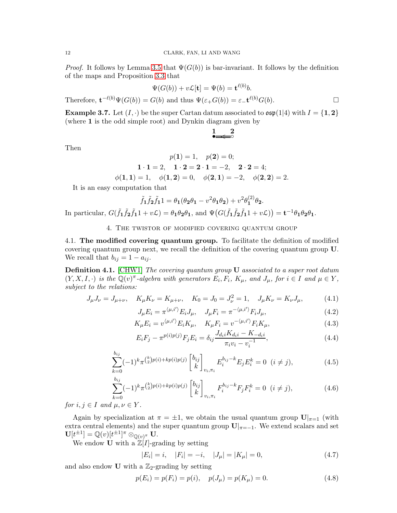*Proof.* It follows by Lemma [3.5](#page-10-0) that  $\Psi(G(b))$  is bar-invariant. It follows by the definition of the maps and Proposition [3.3](#page-9-0) that

$$
\Psi(G(b)) + v\mathcal{L}[\mathbf{t}] = \Psi(b) = \mathbf{t}^{\ell(b)}b.
$$

Therefore,  $\mathbf{t}^{-\ell(b)}\Psi(G(b)) = G(b)$  and thus  $\Psi(\varepsilon_+ G(b)) = \varepsilon_- \mathbf{t}^{\ell(b)}G(b)$ .

**Example 3.7.** Let  $(I, \cdot)$  be the super Cartan datum associated to  $\mathfrak{osp}(1|4)$  with  $I = \{1, 2\}$ (where 1 is the odd simple root) and Dynkin diagram given by

> • ◦ < 1 2

$$
p(1) = 1, \quad p(2) = 0;
$$
  

$$
1 \cdot 1 = 2, \quad 1 \cdot 2 = 2 \cdot 1 = -2, \quad 2 \cdot 2 = 4;
$$
  

$$
\phi(1,1) = 1, \quad \phi(1,2) = 0, \quad \phi(2,1) = -2, \quad \phi(2,2) = 2.
$$

It is an easy computation that

$$
\tilde{f}_1 \tilde{f}_2 \tilde{f}_1 1 = \theta_1 (\theta_2 \theta_1 - v^2 \theta_1 \theta_2) + v^2 \theta_1^{(2)} \theta_2.
$$

<span id="page-11-0"></span>In particular,  $G(\tilde{f}_1 \tilde{f}_2 \tilde{f}_1 1 + v\mathcal{L}) = \theta_1 \theta_2 \theta_1$ , and  $\Psi(G(\tilde{f}_1 \tilde{f}_2 \tilde{f}_1 1 + v\mathcal{L})) = \mathbf{t}^{-1} \theta_1 \theta_2 \theta_1$ .

4. The twistor of modified covering quantum group

4.1. The modified covering quantum group. To facilitate the definition of modified covering quantum group next, we recall the definition of the covering quantum group U. We recall that  $b_{ij} = 1 - a_{ij}$ .

Definition 4.1. [\[CHW1\]](#page-18-3) *The covering quantum group* U *associated to a super root datum*  $(Y, X, I, \cdot)$  *is the*  $\mathbb{Q}(v)^{\pi}$ -algebra with generators  $E_i, F_i, K_{\mu}$ , and  $J_{\mu}$ , for  $i \in I$  and  $\mu \in Y$ , *subject to the relations:*

<span id="page-11-1"></span>
$$
J_{\mu}J_{\nu} = J_{\mu+\nu}, \quad K_{\mu}K_{\nu} = K_{\mu+\nu}, \quad K_0 = J_0 = J_{\nu}^2 = 1, \quad J_{\mu}K_{\nu} = K_{\nu}J_{\mu}, \tag{4.1}
$$

$$
J_{\mu}E_i = \pi^{\langle \mu, i' \rangle} E_i J_{\mu}, \quad J_{\mu}F_i = \pi^{-\langle \mu, i' \rangle} F_i J_{\mu}, \tag{4.2}
$$

<span id="page-11-3"></span>
$$
K_{\mu}E_i = v^{\langle \mu, i' \rangle} E_i K_{\mu}, \quad K_{\mu}F_i = v^{-\langle \mu, i' \rangle} F_i K_{\mu}, \tag{4.3}
$$

<span id="page-11-4"></span>
$$
E_i F_j - \pi^{p(i)p(j)} F_j E_i = \delta_{ij} \frac{J_{d_i i} K_{d_i i} - K_{-d_i i}}{\pi_i v_i - v_i^{-1}},
$$
\n(4.4)

<span id="page-11-5"></span>
$$
\sum_{k=0}^{b_{ij}} (-1)^k \pi^{\binom{k}{2} p(i) + k p(i) p(j)} \begin{bmatrix} b_{ij} \\ k \end{bmatrix}_{v_i, \pi_i} E_i^{b_{ij} - k} E_j E_i^k = 0 \quad (i \neq j), \tag{4.5}
$$

<span id="page-11-2"></span>
$$
\sum_{k=0}^{b_{ij}} (-1)^k \pi^{\binom{k}{2} p(i) + k p(i) p(j)} \begin{bmatrix} b_{ij} \\ k \end{bmatrix}_{v_i, \pi_i} F_i^{b_{ij} - k} F_j F_i^k = 0 \quad (i \neq j), \tag{4.6}
$$

*for*  $i, j \in I$  *and*  $\mu, \nu \in Y$ *.* 

Again by specialization at  $\pi = \pm 1$ , we obtain the usual quantum group  $\mathbf{U}|_{\pi=1}$  (with extra central elements) and the super quantum group  $\mathbf{U}|_{\pi=-1}$ . We extend scalars and set  $\mathbf{U}[t^{\pm 1}]=\mathbb{Q}(v)[t^{\pm 1}]^{\pi}\otimes_{\mathbb{Q}(v)^{\pi}}\mathbf{U}.$ 

We endow **U** with a  $\mathbb{Z}[I]$ -grading by setting

$$
|E_i| = i, \quad |F_i| = -i, \quad |J_\mu| = |K_\mu| = 0,\tag{4.7}
$$

and also endow **U** with a  $\mathbb{Z}_2$ -grading by setting

$$
p(E_i) = p(F_i) = p(i), \quad p(J_\mu) = p(K_\mu) = 0.
$$
\n(4.8)

Then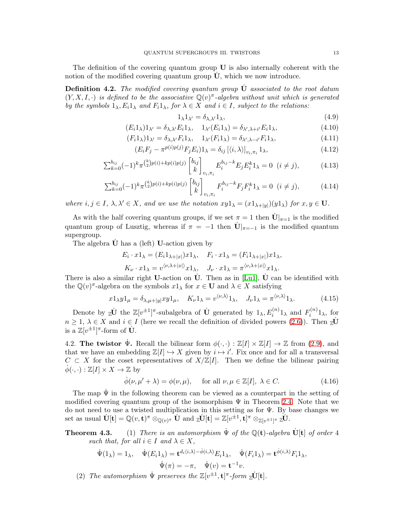The definition of the covering quantum group  $U$  is also internally coherent with the notion of the modified covering quantum group  $\dot{\mathbf{U}}$ , which we now introduce.

Definition 4.2. *The modified covering quantum group* U˙ *associated to the root datum*  $(Y, X, I, \cdot)$  *is defined to be the associative*  $\mathbb{Q}(v)^{\pi}$ -algebra without unit which is generated *by the symbols*  $1_\lambda, E_i 1_\lambda$  *and*  $F_i 1_\lambda$ *, for*  $\lambda \in X$  *and*  $i \in I$ *, subject to the relations:* 

$$
1_{\lambda}1_{\lambda'} = \delta_{\lambda,\lambda'}1_{\lambda},\tag{4.9}
$$

<span id="page-12-0"></span>
$$
(E_i 1_\lambda) 1_{\lambda'} = \delta_{\lambda, \lambda'} E_i 1_\lambda, \quad 1_{\lambda'} (E_i 1_\lambda) = \delta_{\lambda', \lambda + i'} E_i 1_\lambda,
$$
\n(4.10)

$$
(F_i 1_\lambda) 1_{\lambda'} = \delta_{\lambda, \lambda'} F_i 1_\lambda, \quad 1_{\lambda'} (F_i 1_\lambda) = \delta_{\lambda', \lambda - i'} F_i 1_\lambda,
$$
\n(4.11)

$$
(E_i F_j - \pi^{p(i)p(j)} F_j E_i) 1_\lambda = \delta_{ij} \left[ \langle i, \lambda \rangle \right]_{v_i, \pi_i} 1_\lambda,
$$
\n(4.12)

$$
\sum_{k=0}^{b_{ij}} (-1)^k \pi^{\binom{k}{2}p(i)+kp(i)p(j)} \begin{bmatrix} b_{ij} \\ k \end{bmatrix}_{v_i, \pi_i} E_i^{b_{ij}-k} E_j E_i^k 1_\lambda = 0 \ \ (i \neq j), \tag{4.13}
$$

$$
\sum_{k=0}^{b_{ij}} (-1)^k \pi^{\binom{k}{2} p(i) + k p(i) p(j)} \begin{bmatrix} b_{ij} \\ k \end{bmatrix}_{v_i, \pi_i} F_i^{b_{ij} - k} F_j F_i^k 1_\lambda = 0 \ \ (i \neq j), \tag{4.14}
$$

*where*  $i, j \in I$ ,  $\lambda, \lambda' \in X$ , and we use the notation  $xy1_{\lambda} = (x1_{\lambda+|y|})(y1_{\lambda})$  *for*  $x, y \in U$ *.* 

As with the half covering quantum groups, if we set  $\pi = 1$  then  $\dot{\mathbf{U}}|_{\pi=1}$  is the modified quantum group of Lusztig, whereas if  $\pi = -1$  then  $\dot{\mathbf{U}}|_{\pi=-1}$  is the modified quantum supergroup.

The algebra  $\dot{\mathbf{U}}$  has a (left) **U**-action given by

$$
E_i \cdot x1_\lambda = (E_i 1_{\lambda+|x|})x1_\lambda, \quad F_i \cdot x1_\lambda = (F_i 1_{\lambda+|x|})x1_\lambda,
$$
  

$$
K_\nu \cdot x1_\lambda = v^{\langle \nu, \lambda+|x| \rangle} x1_\lambda, \quad J_\nu \cdot x1_\lambda = \pi^{\langle \nu, \lambda+|x| \rangle} x1_\lambda.
$$

There is also a similar right U-action on  $\dot{\mathbf{U}}$ . Then as in [\[Lu1\]](#page-18-13),  $\dot{\mathbf{U}}$  can be identified with the  $\mathbb{Q}(v)^{\pi}$ -algebra on the symbols  $x1_{\lambda}$  for  $x \in U$  and  $\lambda \in X$  satisfying

$$
x1_{\lambda}y1_{\mu} = \delta_{\lambda,\mu+|y|}xy1_{\mu}, \quad K_{\nu}1_{\lambda} = v^{\langle \nu,\lambda \rangle}1_{\lambda}, \quad J_{\nu}1_{\lambda} = \pi^{\langle \nu,\lambda \rangle}1_{\lambda}.
$$
 (4.15)

Denote by  $\mathbb{Z}[\mathbf{U}]$  the  $\mathbb{Z}[v^{\pm 1}]^{\pi}$ -subalgebra of  $\dot{\mathbf{U}}$  generated by  $1_{\lambda}, E_i^{(n)}1_{\lambda}$  and  $F_i^{(n)}$  $i^{(n)}1_{\lambda}$ , for  $n \geq 1, \lambda \in X$  and  $i \in I$  (here we recall the definition of divided powers [\(2.6\)](#page-4-2)). Then  $\mathbb{Z}^{\mathbf{U}}$ is a  $\mathbb{Z}[v^{\pm 1}]^{\pi}$ -form of  $\dot{\mathbf{U}}$ .

4.2. The twistor  $\dot{\Psi}$ . Recall the bilinear form  $\phi(\cdot, \cdot) : \mathbb{Z}[I] \times \mathbb{Z}[I] \to \mathbb{Z}$  from [\(2.9\)](#page-5-7), and that we have an embedding  $\mathbb{Z}[I] \hookrightarrow X$  given by  $i \mapsto i'$ . Fix once and for all a transversal  $C \subset X$  for the coset representatives of  $X/\mathbb{Z}[I]$ . Then we define the bilinear pairing  $\dot{\phi}(\cdot,\cdot): \mathbb{Z}[I] \times X \to \mathbb{Z}$  by

$$
\dot{\phi}(\nu, \mu' + \lambda) = \phi(\nu, \mu), \quad \text{for all } \nu, \mu \in \mathbb{Z}[I], \lambda \in C.
$$
 (4.16)

The map  $\Psi$  in the following theorem can be viewed as a counterpart in the setting of modified covering quantum group of the isomorphism  $\Psi$  in Theorem [2.4.](#page-5-1) Note that we do not need to use a twisted multiplication in this setting as for Ψ. By base changes we  $\mathrm{set}\ \mathrm{as}\ \mathrm{usual}\ \dot{\mathbf{U}}[\mathbf{t}] = \mathbb{Q}(v, \mathbf{t})^{\pi} \otimes_{\mathbb{Q}(v)^{\pi}} \dot{\mathbf{U}}\ \mathrm{and}\ \mathrm{z} \dot{\mathbf{U}}[\mathbf{t}] = \mathbb{Z}[v^{\pm 1}, \mathbf{t}]^{\pi} \otimes_{\mathbb{Z}[v^{\pm 1}]^{\pi}} \mathrm{z} \dot{\mathbf{U}}.$ 

# **Theorem 4.3.** (1) *There is an automorphism*  $\dot{\Psi}$  *of the*  $\mathbb{Q}(\mathbf{t})$ *-algebra*  $\dot{\mathbf{U}}[\mathbf{t}]$  *of order* 4 *such that, for all*  $i \in I$  *and*  $\lambda \in X$ *,*

$$
\dot{\Psi}(1_{\lambda}) = 1_{\lambda}, \quad \dot{\Psi}(E_i 1_{\lambda}) = \mathbf{t}^{d_i \langle i, \lambda \rangle - \dot{\phi}(i, \lambda)} E_i 1_{\lambda}, \quad \dot{\Psi}(F_i 1_{\lambda}) = \mathbf{t}^{\dot{\phi}(i, \lambda)} F_i 1_{\lambda},
$$

$$
\dot{\Psi}(\pi) = -\pi, \quad \dot{\Psi}(v) = \mathbf{t}^{-1} v.
$$

(2) The automorphism  $\dot{\Psi}$  preserves the  $\mathbb{Z}[v^{\pm 1}, \mathbf{t}]^{\pi}$ -form  $\mathbb{Z}[\mathbf{t}]$ .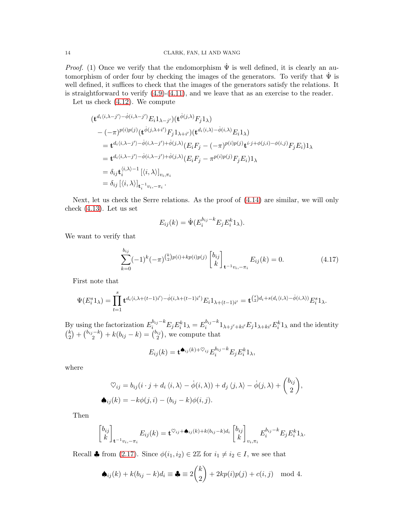*Proof.* (1) Once we verify that the endomorphism  $\Psi$  is well defined, it is clearly an automorphism of order four by checking the images of the generators. To verify that  $\Psi$  is well defined, it suffices to check that the images of the generators satisfy the relations. It is straightforward to verify  $(4.9)-(4.11)$  $(4.9)-(4.11)$ , and we leave that as an exercise to the reader.

Let us check [\(4.12\)](#page-12-0). We compute

$$
\begin{split}\n&(\mathbf{t}^{d_i\langle i,\lambda-j'\rangle-\dot{\phi}(i,\lambda-j')}E_i1_{\lambda-j'})(\mathbf{t}^{\dot{\phi}(j,\lambda)}F_j1_{\lambda}) \\
&-(-\pi)^{p(i)p(j)}(\mathbf{t}^{\dot{\phi}(j,\lambda+i')}F_j1_{\lambda+i'})(\mathbf{t}^{d_i\langle i,\lambda\rangle-\dot{\phi}(i,\lambda)}E_i1_{\lambda}) \\
&=\mathbf{t}^{d_i\langle i,\lambda-j'\rangle-\dot{\phi}(i,\lambda-j')+\dot{\phi}(j,\lambda)}(E_iF_j-(-\pi)^{p(i)p(j)}\mathbf{t}^{i\cdot j+\phi(j,i)}-\phi(i,j)F_jE_i)1_{\lambda} \\
&=\mathbf{t}^{d_i\langle i,\lambda-j'\rangle-\dot{\phi}(i,\lambda-j')+\dot{\phi}(j,\lambda)}(E_iF_j-\pi^{p(i)p(j)}F_jE_i)1_{\lambda} \\
&=\delta_{ij}\mathbf{t}^{\langle i,\lambda\rangle-1}_i\left[\langle i,\lambda\rangle\right]_{v_i,\pi_i} \\
&=\delta_{ij}\left[\langle i,\lambda\rangle\right]_{\mathbf{t}^{-1}_i v_i,-\pi_i}.\n\end{split}
$$

Next, let us check the Serre relations. As the proof of [\(4.14\)](#page-12-0) are similar, we will only check [\(4.13\)](#page-12-0). Let us set

$$
E_{ij}(k) = \dot{\Psi}(E_i^{b_{ij}-k} E_j E_i^k 1_\lambda).
$$

We want to verify that

$$
\sum_{k=0}^{b_{ij}} (-1)^k (-\pi)^{\binom{k}{2}p(i)+kp(i)p(j)} \begin{bmatrix} b_{ij} \\ k \end{bmatrix}_{\mathbf{t}^{-1}v_i, -\pi_i} E_{ij}(k) = 0.
$$
 (4.17)

First note that

$$
\Psi(E_i^s 1_\lambda) = \prod_{t=1}^s \mathbf{t}^{d_i \langle i, \lambda + (t-1)i' \rangle - \dot{\phi}(i, \lambda + (t-1)i')} E_i 1_{\lambda + (t-1)i'} = \mathbf{t}^{{s \choose 2} d_i + s(d_i \langle i, \lambda \rangle - \dot{\phi}(i, \lambda))} E_i^s 1_\lambda.
$$

By using the factorization  $E_i^{b_{ij}-k} E_j E_i^k 1_\lambda = E_i^{b_{ij}-k}$  $i^{b_{ij}-k}1_{\lambda+j'+ki'}E_j1_{\lambda+ki'}E_i^k1_\lambda$  and the identity  $\binom{k}{0}$  $\binom{k}{2} + \binom{b_{ij}-k}{2}$  $\binom{n-k}{2} + k(b_{ij} - k) = \binom{b_{ij}}{2}$  $\binom{n_j}{2}$ , we compute that

$$
E_{ij}(k) = \mathbf{t}^{\spadesuit_{ij}(k) + \heartsuit_{ij}} E_i^{b_{ij} - k} E_j E_i^k \mathbf{1}_{\lambda},
$$

where

$$
\nabla_{ij} = b_{ij}(i \cdot j + d_i \langle i, \lambda \rangle - \dot{\phi}(i, \lambda)) + d_j \langle j, \lambda \rangle - \dot{\phi}(j, \lambda) + \begin{pmatrix} b_{ij} \\ 2 \end{pmatrix},
$$
  
\n
$$
\bullet_{ij}(k) = -k\phi(j, i) - (b_{ij} - k)\phi(i, j).
$$

Then

$$
\begin{bmatrix} b_{ij} \\ k \end{bmatrix}_{\mathbf{t}^{-1}v_i, -\pi_i} E_{ij}(k) = \mathbf{t}^{\heartsuit_{ij} + \spadesuit_{ij}(k) + k(b_{ij} - k)d_i} \begin{bmatrix} b_{ij} \\ k \end{bmatrix}_{v_i, \pi_i} E_i^{b_{ij} - k} E_j E_i^k 1_{\lambda}.
$$

Recall  $\clubsuit$  from [\(2.17\)](#page-6-2). Since  $\phi(i_1, i_2) \in 2\mathbb{Z}$  for  $i_1 \neq i_2 \in I$ , we see that

$$
\spadesuit_{ij}(k) + k(b_{ij} - k)d_i \equiv \clubsuit \equiv 2\binom{k}{2} + 2kp(i)p(j) + c(i,j) \mod 4.
$$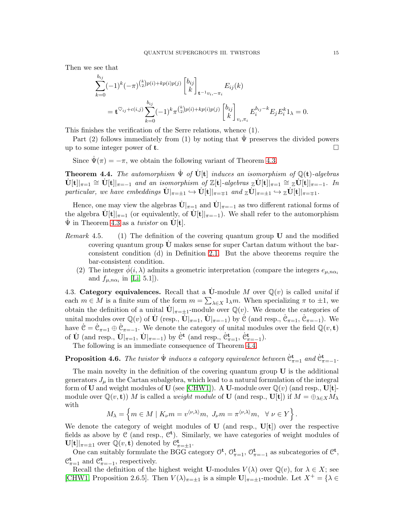Then we see that

$$
\sum_{k=0}^{b_{ij}} (-1)^k (-\pi)^{\binom{k}{2}p(i)+kp(i)p(j)} \begin{bmatrix} b_{ij} \\ k \end{bmatrix}_{\mathbf{t}^{-1}v_i,-\pi_i} E_{ij}(k)
$$
\n
$$
= \mathbf{t}^{\heartsuit_{ij}+c(i,j)} \sum_{k=0}^{b_{ij}} (-1)^k \pi^{\binom{k}{2}p(i)+kp(i)p(j)} \begin{bmatrix} b_{ij} \\ k \end{bmatrix}_{v_i,\pi_i} E_i^{b_{ij}-k} E_j E_i^k 1_\lambda = 0.
$$

This finishes the verification of the Serre relations, whence (1).

Part (2) follows immediately from (1) by noting that  $\Psi$  preserves the divided powers up to some integer power of **t**.

Since  $\Psi(\pi) = -\pi$ , we obtain the following variant of Theorem 4.3.

<span id="page-14-0"></span>**Theorem 4.4.** The automorphism  $\dot{\Psi}$  of  $\dot{\mathbf{U}}[\mathbf{t}]$  induces an isomorphism of  $\mathbb{Q}(\mathbf{t})$ -algebras  $\dot{U}[t]|_{\pi=1} \cong \dot{U}[t]|_{\pi=-1}$  and an isomorphism of  $\mathbb{Z}[t]$ -algebras  $\mathbb{Z}\dot{U}[t]|_{\pi=1} \cong \mathbb{Z}\dot{U}[t]|_{\pi=-1}$ . In  $particular, we have embeddings \mathbf{U}|_{\pi=\pm 1} \hookrightarrow \mathbf{U}[\mathbf{t}]|_{\pi=\mp 1} and \mathbf{Z} \mathbf{U}|_{\pi=\pm 1} \hookrightarrow \mathbf{Z} \mathbf{U}[\mathbf{t}]|_{\pi=\mp 1}.$ 

Hence, one may view the algebras  $\dot{\mathbf{U}}|_{\pi=1}$  and  $\dot{\mathbf{U}}|_{\pi=-1}$  as two different rational forms of the algebra  $\dot{\mathbf{U}}[\mathbf{t}]|_{\pi=1}$  (or equivalently, of  $\dot{\mathbf{U}}[\mathbf{t}]|_{\pi=-1}$ ). We shall refer to the automorphism  $\dot{\Psi}$  in Theorem 4.3 as a *twistor* on  $\dot{\mathbf{U}}[\mathbf{t}]$ .

- *Remark* 4.5*.* (1) The definition of the covering quantum group U and the modified covering quantum group U˙ makes sense for super Cartan datum without the barconsistent condition (d) in Definition [2.1.](#page-3-1) But the above theorems require the bar-consistent condition.
	- (2) The integer  $\phi(i, \lambda)$  admits a geometric interpretation (compare the integers  $e_{\mu,n\alpha_i}$ and  $f_{\mu,n\alpha_i}$  in [\[Li,](#page-18-18) 5.1]).

4.3. Category equivalences. Recall that a  $\dot{\mathbf{U}}$ -module M over  $\mathbb{Q}(v)$  is called *unital* if each  $m \in M$  is a finite sum of the form  $m = \sum_{\lambda \in X} 1_{\lambda} m$ . When specializing  $\pi$  to  $\pm 1$ , we obtain the definition of a unital  $\dot{\mathbf{U}}|_{\pi=\pm 1}$ -module over  $\mathbb{Q}(v)$ . We denote the categories of unital modules over  $\mathbb{Q}(v)$  of  $\dot{\mathbf{U}}$  (resp.,  $\dot{\mathbf{U}}|_{\pi=1}$ ,  $\dot{\mathbf{U}}|_{\pi=-1}$ ) by  $\dot{\mathcal{C}}$  (and resp.,  $\dot{\mathcal{C}}_{\pi=1}$ ,  $\dot{\mathcal{C}}_{\pi=-1}$ ). We have  $\dot{\mathcal{C}} = \dot{\mathcal{C}}_{\pi=1} \oplus \dot{\mathcal{C}}_{\pi=-1}$ . We denote the category of unital modules over the field  $\mathbb{Q}(v, \mathbf{t})$ of  $\dot{\mathbf{U}}$  (and resp.,  $\dot{\mathbf{U}}|_{\pi=1}$ ,  $\dot{\mathbf{U}}|_{\pi=-1}$ ) by  $\dot{\mathbf{C}}^{\mathbf{t}}$  (and resp.,  $\dot{\mathbf{C}}_{\pi=1}^{\mathbf{t}}$ ,  $\dot{\mathbf{C}}_{\pi=-1}^{\mathbf{t}}$ ).

The following is an immediate consequence of Theorem [4.4.](#page-14-0)

<span id="page-14-1"></span>**Proposition 4.6.** The twistor  $\dot{\Psi}$  induces a category equivalence between  $\dot{\mathcal{C}}_{\pi=1}^{\mathbf{t}}$  and  $\dot{\mathcal{C}}_{\pi=-1}^{\mathbf{t}}$ .

The main novelty in the definition of the covering quantum group  $U$  is the additional generators  $J_{\mu}$  in the Cartan subalgebra, which lead to a natural formulation of the integral form of **U** and weight modules of **U** (see [\[CHW1\]](#page-18-3)). A **U**-module over  $\mathbb{Q}(v)$  (and resp., **U**[t]module over  $\mathbb{Q}(v, \mathbf{t})$  *M* is called a *weight module* of **U** (and resp.,  $\mathbf{U}[\mathbf{t}]$ ) if  $M = \bigoplus_{\lambda \in X} M_{\lambda}$ with

$$
M_{\lambda} = \left\{ m \in M \mid K_{\nu} m = v^{\langle \nu, \lambda \rangle} m, J_{\nu} m = \pi^{\langle \nu, \lambda \rangle} m, \ \forall \ \nu \in Y \right\}.
$$

We denote the category of weight modules of  $\bf{U}$  (and resp.,  $\bf{U}[t]$ ) over the respective fields as above by  $\mathcal C$  (and resp.,  $\mathcal C^t$ ). Similarly, we have categories of weight modules of  $\mathbf{U}[\mathbf{t}]|_{\pi=\pm 1}$  over  $\mathbb{Q}(v,\mathbf{t})$  denoted by  $\mathcal{C}_{\pi=\pm 1}^{\mathbf{t}}$ .

One can suitably formulate the BGG category  $\mathcal{O}^{\mathbf{t}}$ ,  $\mathcal{O}_{\pi=1}^{\mathbf{t}}$ ,  $\mathcal{O}_{\pi=-1}^{\mathbf{t}}$  as subcategories of  $\mathcal{C}^{\mathbf{t}}$ ,  $\mathfrak{C}_{\pi=1}^{\mathbf{t}}$  and  $\mathfrak{C}_{\pi=-1}^{\mathbf{t}}$ , respectively.

Recall the definition of the highest weight U-modules  $V(\lambda)$  over  $\mathbb{Q}(v)$ , for  $\lambda \in X$ ; see [\[CHW1,](#page-18-3) Proposition 2.6.5]. Then  $V(\lambda)_{\pi=\pm 1}$  is a simple  $\mathbf{U}|_{\pi=\pm 1}$ -module. Let  $X^+=\{\lambda\in$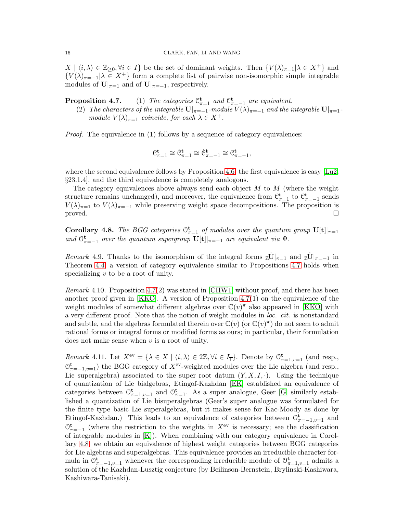$X | \langle i, \lambda \rangle \in \mathbb{Z}_{\geq 0}, \forall i \in I$  be the set of dominant weights. Then  ${V(\lambda)_{\pi=1} | \lambda \in X^+}$  and  ${V(\lambda)_{\pi=-1}|\lambda \in X^+}$  form a complete list of pairwise non-isomorphic simple integrable modules of  $\mathbf{U}|_{\pi=1}$  and of  $\mathbf{U}|_{\pi=-1}$ , respectively.

**Proposition 4.7.** (1) The categories  $\mathcal{C}_{\pi=1}^{\mathbf{t}}$  and  $\mathcal{C}_{\pi=-1}^{\mathbf{t}}$  are equivalent.

(2) *The characters of the integrable*  $\mathbf{U}|_{\pi=-1}$ *-module*  $V(\lambda)_{\pi=-1}$  *and the integrable*  $\mathbf{U}|_{\pi=1}$ *module*  $V(\lambda)_{\pi=1}$  *coincide, for each*  $\lambda \in X^+$ *.* 

*Proof.* The equivalence in (1) follows by a sequence of category equivalences:

$$
\mathfrak{C}_{\pi=1}^{\mathbf{t}}\cong \dot{\mathfrak{C}}_{\pi=1}^{\mathbf{t}}\cong \dot{\mathfrak{C}}_{\pi=-1}^{\mathbf{t}}\cong \mathfrak{C}_{\pi=-1}^{\mathbf{t}},
$$

where the second equivalence follows by Proposition [4.6,](#page-14-1) the first equivalence is easy [\[Lu2,](#page-18-17) §23.1.4], and the third equivalence is completely analogous.

The category equivalences above always send each object  $M$  to  $M$  (where the weight structure remains unchanged), and moreover, the equivalence from  $\mathfrak{C}_{\pi=1}^{\mathbf{t}}$  to  $\mathfrak{C}_{\pi=-1}^{\mathbf{t}}$  sends  $V(\lambda)_{\pi=1}$  to  $V(\lambda)_{\pi=-1}$  while preserving weight space decompositions. The proposition is proved.

<span id="page-15-0"></span>**Corollary 4.8.** *The BGG categories*  $\mathbb{O}_{\pi=1}^{\mathbf{t}}$  *of modules over the quantum group*  $\mathbf{U}[\mathbf{t}]|_{\pi=1}$ and  $\mathcal{O}_{\pi=-1}^{\mathbf{t}}$  *over the quantum supergroup*  $\mathbf{U}[\mathbf{t}]|_{\pi=-1}$  *are equivalent via*  $\dot{\Psi}$ *.* 

*Remark* 4.9. Thanks to the isomorphism of the integral forms  $\vec{\mathbf{z}}\dot{\mathbf{U}}|_{\pi=1}$  and  $\vec{\mathbf{z}}\dot{\mathbf{U}}|_{\pi=-1}$  in Theorem [4.4,](#page-14-0) a version of category equivalence similar to Propositions 4.7 holds when specializing  $v$  to be a root of unity.

*Remark* 4.10*.* Proposition 4.7(2) was stated in [\[CHW1\]](#page-18-3) without proof, and there has been another proof given in [\[KKO\]](#page-18-9). A version of Proposition 4.7(1) on the equivalence of the weight modules of somewhat different algebras over  $\mathbb{C}(v)$ <sup> $\pi$ </sup> also appeared in [\[KKO\]](#page-18-9) with a very different proof. Note that the notion of weight modules in *loc. cit.* is nonstandard and subtle, and the algebras formulated therein over  $\mathbb{C}(v)$  (or  $\mathbb{C}(v)^{\pi}$ ) do not seem to admit rational forms or integral forms or modified forms as ours; in particular, their formulation does not make sense when  $v$  is a root of unity.

*Remark* 4.11. Let  $X^{\text{ev}} = \{ \lambda \in X \mid \langle i, \lambda \rangle \in 2\mathbb{Z}, \forall i \in I_{\overline{1}} \}$ . Denote by  $\mathbb{O}_{\pi=1, v=1}^{\mathbf{t}}$  (and resp.,  $\mathcal{O}_{\pi=-1,\nu=1}^{\mathbf{t}}$ ) the BGG category of  $X^{\text{ev}}$ -weighted modules over the Lie algebra (and resp., Lie superalgebra) associated to the super root datum  $(Y, X, I, \cdot)$ . Using the technique of quantization of Lie bialgebras, Etingof-Kazhdan [\[EK\]](#page-18-19) established an equivalence of categories between  $\mathcal{O}_{\pi=1}^{\mathbf{t}}$ , and  $\mathcal{O}_{\pi=1}^{\mathbf{t}}$ . As a super analogue, Geer [\[G\]](#page-18-20) similarly established a quantization of Lie bisuperalgebras (Geer's super analogue was formulated for the finite type basic Lie superalgebras, but it makes sense for Kac-Moody as done by Etingof-Kazhdan.) This leads to an equivalence of categories between  $\mathcal{O}_{\pi=-1, v=1}^{\mathbf{t}}$  and  $\mathcal{O}_{\pi=-1}^{\mathbf{t}}$  (where the restriction to the weights in  $X^{\text{ev}}$  is necessary; see the classification of integrable modules in [\[K\]](#page-18-14)). When combining with our category equivalence in Corollary [4.8,](#page-15-0) we obtain an equivalence of highest weight categories between BGG categories for Lie algebras and superalgebras. This equivalence provides an irreducible character formula in  $\mathcal{O}_{\pi=-1,\nu=1}^{\mathbf{t}}$  whenever the corresponding irreducible module of  $\mathcal{O}_{\pi=1,\nu=1}^{\mathbf{t}}$  admits a solution of the Kazhdan-Lusztig conjecture (by Beilinson-Bernstein, Brylinski-Kashiwara, Kashiwara-Tanisaki).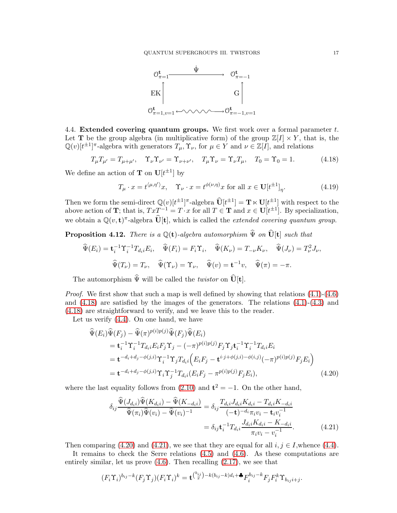

4.4. Extended covering quantum groups. We first work over a formal parameter  $t$ . Let **T** be the group algebra (in multiplicative form) of the group  $\mathbb{Z}[I] \times Y$ , that is, the  $\mathbb{Q}(v)[t^{\pm 1}]^{\pi}$ -algebra with generators  $T_{\mu}$ ,  $\Upsilon_{\nu}$ , for  $\mu \in Y$  and  $\nu \in \mathbb{Z}[I]$ , and relations

<span id="page-16-1"></span>
$$
T_{\mu}T_{\mu'} = T_{\mu+\mu'}, \quad \Upsilon_{\nu}\Upsilon_{\nu'} = \Upsilon_{\nu+\nu'}, \quad T_{\mu}\Upsilon_{\nu} = \Upsilon_{\nu}T_{\mu}, \quad T_0 = \Upsilon_0 = 1. \tag{4.18}
$$

We define an action of **T** on  $\mathbf{U}[t^{\pm 1}]$  by

$$
T_{\mu} \cdot x = t^{\langle \mu, \eta' \rangle} x, \quad \Upsilon_{\nu} \cdot x = t^{\phi(\nu, \eta)} x \text{ for all } x \in \mathbf{U}[t^{\pm 1}]_{\eta}.
$$
 (4.19)

Then we form the semi-direct  $\mathbb{Q}(v)[t^{\pm 1}]^{\pi}$ -algebra  $\widehat{\mathbf{U}}[t^{\pm 1}] = \mathbf{T} \ltimes \mathbf{U}[t^{\pm 1}]$  with respect to the above action of **T**; that is,  $TxT^{-1} = T \cdot x$  for all  $T \in$  **T** and  $x \in U[t^{\pm 1}]$ . By specialization, we obtain a  $\mathbb{Q}(v, \mathbf{t})^{\pi}$ -algebra  $\widehat{\mathbf{U}}[\mathbf{t}]$ , which is called the *extended covering quantum group*.

<span id="page-16-0"></span>**Proposition 4.12.** *There is a*  $\mathbb{Q}(\mathbf{t})$ *-algebra automorphism*  $\widehat{\Psi}$  *on*  $\widehat{\mathbf{U}}[\mathbf{t}]$  *such that* 

$$
\widehat{\Psi}(E_i) = \mathbf{t}_i^{-1} \Upsilon_i^{-1} T_{d_i i} E_i, \quad \widehat{\Psi}(F_i) = F_i \Upsilon_i, \quad \widehat{\Psi}(K_{\nu}) = T_{-\nu} K_{\nu}, \quad \widehat{\Psi}(J_{\nu}) = T_{\nu}^2 J_{\nu},
$$

$$
\widehat{\Psi}(T_{\nu}) = T_{\nu}, \quad \widehat{\Psi}(\Upsilon_{\nu}) = \Upsilon_{\nu}, \quad \widehat{\Psi}(v) = \mathbf{t}^{-1} v, \quad \widehat{\Psi}(\pi) = -\pi.
$$

The automorphism  $\widehat{\Psi}$  will be called the *twistor* on  $\widehat{\mathbf{U}}[\mathbf{t}]$ .

*Proof.* We first show that such a map is well defined by showing that relations  $(4.1)$ - $(4.6)$ and  $(4.18)$  are satisfied by the images of the generators. The relations  $(4.1)-(4.3)$  $(4.1)-(4.3)$  and [\(4.18\)](#page-16-1) are straightforward to verify, and we leave this to the reader.

Let us verify [\(4.4\)](#page-11-4). On one hand, we have

$$
\begin{split}\n\widehat{\Psi}(E_{i})\widehat{\Psi}(F_{j}) - \widehat{\Psi}(\pi)^{p(i)p(j)}\widehat{\Psi}(F_{j})\widehat{\Psi}(E_{i}) \\
&= \mathbf{t}_{i}^{-1}\Upsilon_{i}^{-1}T_{d_{i}i}E_{i}F_{j}\Upsilon_{j} - (-\pi)^{p(i)p(j)}F_{j}\Upsilon_{j}\mathbf{t}_{i}^{-1}\Upsilon_{i}^{-1}T_{d_{i}i}E_{i} \\
&= \mathbf{t}^{-d_{i}+d_{j}-\phi(j,i)}\Upsilon_{i}^{-1}\Upsilon_{j}T_{d_{i}i}\Big(E_{i}F_{j} - \mathbf{t}^{i\cdot j+\phi(j,i)-\phi(i,j)}(-\pi)^{p(i)p(j)}F_{j}E_{i}\Big) \\
&= \mathbf{t}^{-d_{i}+d_{j}-\phi(j,i)}\Upsilon_{i}\Upsilon_{j}^{-1}T_{d_{i}i}(E_{i}F_{j} - \pi^{p(i)p(j)}F_{j}E_{i}),\n\end{split} \tag{4.20}
$$

where the last equality follows from  $(2.10)$  and  $t^2 = -1$ . On the other hand,

<span id="page-16-3"></span><span id="page-16-2"></span>
$$
\delta_{ij} \frac{\widehat{\Psi}(J_{d_i i}) \widehat{\Psi}(K_{d_i i}) - \widehat{\Psi}(K_{d_i i})}{\widehat{\Psi}(\pi_i) \widehat{\Psi}(v_i) - \widehat{\Psi}(v_i)^{-1}} = \delta_{ij} \frac{T_{d_i i} J_{d_i i} K_{d_i i} - T_{d_i i} K_{d_i i}}{(-t)^{-d_i} \pi_i v_i - t_i v_i^{-1}}
$$

$$
= \delta_{ij} t_i^{-1} T_{d_i i} \frac{J_{d_i i} K_{d_i i} - K_{d_i i}}{\pi_i v_i - v_i^{-1}}.
$$
(4.21)

Then comparing [\(4.20\)](#page-16-2) and [\(4.21\)](#page-16-3), we see that they are equal for all  $i, j \in I$ , whence [\(4.4\)](#page-11-4).

It remains to check the Serre relations [\(4.5\)](#page-11-5) and [\(4.6\)](#page-11-2). As these computations are entirely similar, let us prove [\(4.6\)](#page-11-2). Then recalling [\(2.17\)](#page-6-2), we see that

$$
(F_i\Upsilon_i)^{b_{ij}-k}(F_j\Upsilon_j)(F_i\Upsilon_i)^k=\mathbf{t}^{\binom{b_{ij}}{2}-k(b_{ij}-k)d_i+\clubsuit}F_i^{b_{ij}-k}F_jF_i^k\Upsilon_{b_{ij}i+j}.
$$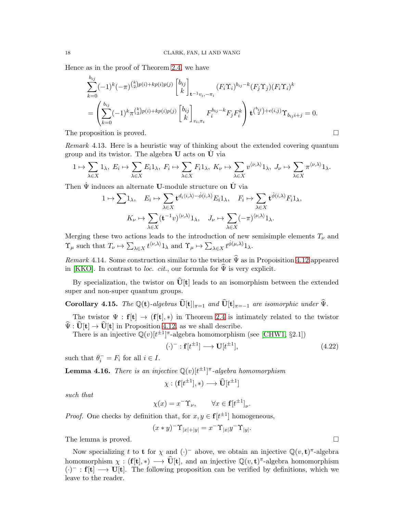Hence as in the proof of Theorem [2.4,](#page-5-1) we have

$$
\sum_{k=0}^{b_{ij}}(-1)^k(-\pi)^{\binom{k}{2}p(i)+kp(i)p(j)}\begin{bmatrix}b_{ij}\k\end{bmatrix}_{\mathbf{t}^{-1}v_i,-\pi_i}(F_i\Upsilon_i)^{b_{ij}-k}(F_j\Upsilon_j)(F_i\Upsilon_i)^k
$$
\n
$$
=\left(\sum_{k=0}^{b_{ij}}(-1)^k\pi^{\binom{k}{2}p(i)+kp(i)p(j)}\begin{bmatrix}b_{ij}\k\end{bmatrix}_{v_i,\pi_i}F_i^{b_{ij}-k}F_jF_i^k\right)\mathbf{t}^{\binom{b_{ij}}{2}+c(i,j)}\Upsilon_{b_{ij}i+j}=0.
$$

The proposition is proved.

*Remark* 4.13*.* Here is a heuristic way of thinking about the extended covering quantum group and its twistor. The algebra  **acts on**  $**U**$  **via** 

$$
1 \mapsto \sum_{\lambda \in X} 1_{\lambda}, E_i \mapsto \sum_{\lambda \in X} E_i 1_{\lambda}, F_i \mapsto \sum_{\lambda \in X} F_i 1_{\lambda}, K_{\nu} \mapsto \sum_{\lambda \in X} v^{\langle \nu, \lambda \rangle} 1_{\lambda}, J_{\nu} \mapsto \sum_{\lambda \in X} \pi^{\langle \nu, \lambda \rangle} 1_{\lambda}.
$$

Then  $\dot{\Psi}$  induces an alternate **U**-module structure on  $\dot{\mathbf{U}}$  via

$$
1 \mapsto \sum 1_{\lambda}, \quad E_i \mapsto \sum_{\lambda \in X} \mathbf{t}^{d_i \langle i, \lambda \rangle - \dot{\phi}(i, \lambda)} E_i 1_{\lambda}, \quad F_i \mapsto \sum_{\lambda \in X} \mathbf{t}^{\dot{\phi}(i, \lambda)} F_i 1_{\lambda},
$$

$$
K_{\nu} \mapsto \sum_{\lambda \in X} (\mathbf{t}^{-1} v)^{\langle \nu, \lambda \rangle} 1_{\lambda}, \quad J_{\nu} \mapsto \sum_{\lambda \in X} (-\pi)^{\langle \nu, \lambda \rangle} 1_{\lambda}.
$$

Merging these two actions leads to the introduction of new semisimple elements  $T_{\nu}$  and  $\Upsilon_{\mu}$  such that  $T_{\nu} \mapsto \sum_{\lambda \in X} t^{\langle \nu, \lambda \rangle} 1_{\lambda}$  and  $\Upsilon_{\mu} \mapsto \sum_{\lambda \in X} t^{\phi(\mu, \lambda)} 1_{\lambda}$ .

*Remark* 4.14. Some construction similar to the twistor  $\hat{\Psi}$  as in Propoisition [4.12](#page-16-0) appeared in [\[KKO\]](#page-18-9). In contrast to *loc. cit.*, our formula for  $\hat{\Psi}$  is very explicit.

By specialization, the twistor on  $\hat{U}[t]$  leads to an isomorphism between the extended super and non-super quantum groups.

Corollary 4.15. *The*  $\mathbb{Q}(\mathbf{t})$ -algebras  $\widehat{\mathbf{U}}[\mathbf{t}]_{\pi=1}$  and  $\widehat{\mathbf{U}}[\mathbf{t}]_{\pi=-1}$  are isomorphic under  $\widehat{\Psi}$ .

The twistor  $\Psi : f[t] \rightarrow (f[t], *)$  in Theorem [2.4](#page-5-1) is intimately related to the twistor  $\widehat{\Psi} : \widehat{\mathbf{U}}[\mathbf{t}] \to \widehat{\mathbf{U}}[\mathbf{t}]$  in Proposition [4.12,](#page-16-0) as we shall describe.

There is an injective  $\mathbb{Q}(v)[t^{\pm 1}]^{\pi}$ -algebra homomorphism (see [\[CHW1,](#page-18-3) §2.1])

$$
(\cdot)^{-} : \mathbf{f}[t^{\pm 1}] \longrightarrow \mathbf{U}[t^{\pm 1}], \tag{4.22}
$$

such that  $\theta_i^- = F_i$  for all  $i \in I$ .

**Lemma 4.16.** There is an injective  $\mathbb{Q}(v)[t^{\pm 1}]^{\pi}$ -algebra homomorphism

$$
\chi: (\mathbf{f}[t^{\pm 1}], *) \longrightarrow \widehat{\mathbf{U}}[t^{\pm 1}]
$$

*such that*

$$
\chi(x) = x^{-} \Upsilon_{\nu}, \qquad \forall x \in \mathbf{f}[t^{\pm 1}]_{\nu}.
$$

*Proof.* One checks by definition that, for  $x, y \in \mathbf{f}[t^{\pm 1}]$  homogeneous,

$$
(x * y)^{-} \Upsilon_{|x|+|y|} = x^{-} \Upsilon_{|x|} y^{-} \Upsilon_{|y|}.
$$

The lemma is proved.

Now specializing t to **t** for  $\chi$  and  $(\cdot)^-$  above, we obtain an injective  $\mathbb{Q}(v, t)$ <sup> $\pi$ </sup>-algebra homomorphism  $\chi : (\mathbf{f}[\mathbf{t}], *) \longrightarrow \widehat{\mathbf{U}}[\mathbf{t}],$  and an injective  $\mathbb{Q}(v, \mathbf{t})^{\pi}$ -algebra homomorphism  $(\cdot)^-$ :  $f[t] \longrightarrow U[t]$ . The following proposition can be verified by definitions, which we leave to the reader.